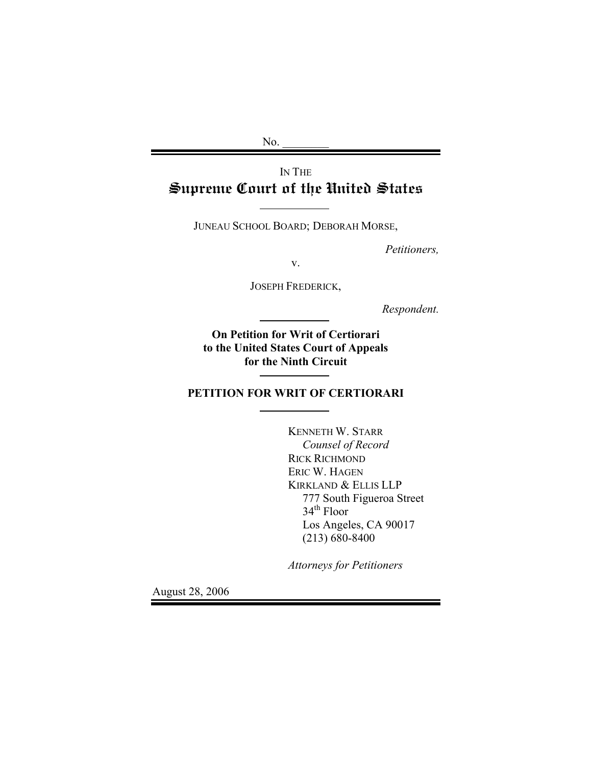$No.$ 

# IN THE Supreme Court of the United States

JUNEAU SCHOOL BOARD; DEBORAH MORSE,

*Petitioners,* 

v.

JOSEPH FREDERICK,

*Respondent.* 

**On Petition for Writ of Certiorari to the United States Court of Appeals for the Ninth Circuit**

**PETITION FOR WRIT OF CERTIORARI** 

KENNETH W. STARR  *Counsel of Record* RICK RICHMOND ERIC W. HAGEN KIRKLAND & ELLIS LLP 777 South Figueroa Street 34<sup>th</sup> Floor Los Angeles, CA 90017 (213) 680-8400

*Attorneys for Petitioners* 

August 28, 2006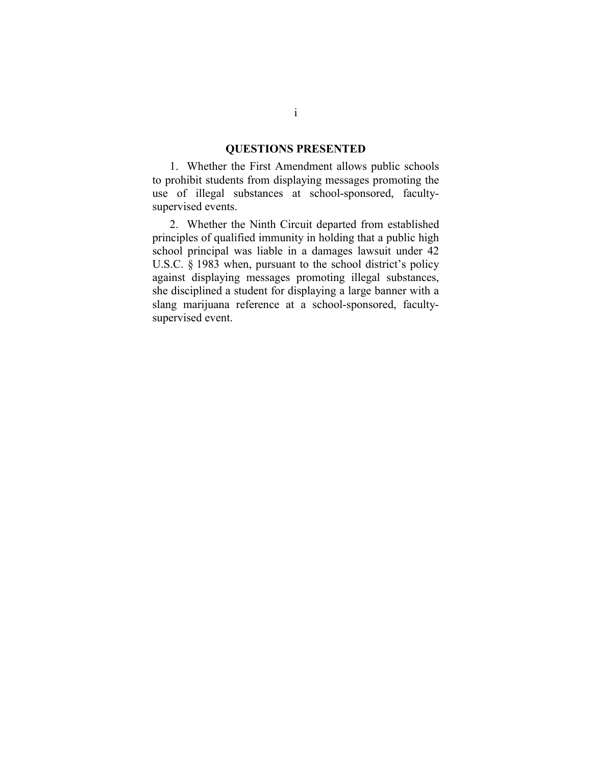#### **QUESTIONS PRESENTED**

<span id="page-1-0"></span>1. Whether the First Amendment allows public schools to prohibit students from displaying messages promoting the use of illegal substances at school-sponsored, facultysupervised events.

2. Whether the Ninth Circuit departed from established principles of qualified immunity in holding that a public high school principal was liable in a damages lawsuit under 42 U.S.C. § 1983 when, pursuant to the school district's policy against displaying messages promoting illegal substances, she disciplined a student for displaying a large banner with a slang marijuana reference at a school-sponsored, facultysupervised event.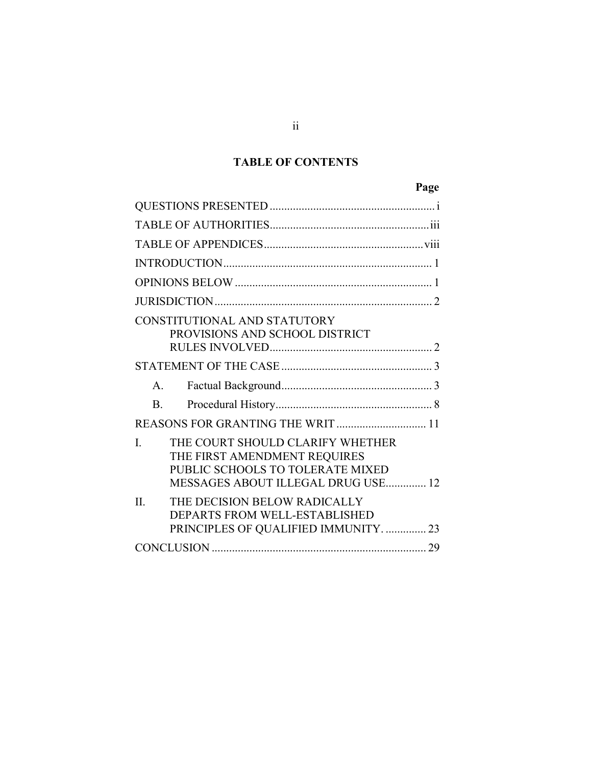# **TABLE OF CONTENTS**

# **Page**

| CONSTITUTIONAL AND STATUTORY<br>PROVISIONS AND SCHOOL DISTRICT                                                                                             |
|------------------------------------------------------------------------------------------------------------------------------------------------------------|
|                                                                                                                                                            |
| $A_{\cdot}$                                                                                                                                                |
| $\mathbf{B}$                                                                                                                                               |
| REASONS FOR GRANTING THE WRIT  11                                                                                                                          |
| THE COURT SHOULD CLARIFY WHETHER<br>$\mathbf{I}$<br>THE FIRST AMENDMENT REQUIRES<br>PUBLIC SCHOOLS TO TOLERATE MIXED<br>MESSAGES ABOUT ILLEGAL DRUG USE 12 |
| THE DECISION BELOW RADICALLY<br>$\mathbf{H}$<br>DEPARTS FROM WELL-ESTABLISHED<br>PRINCIPLES OF QUALIFIED IMMUNITY.  23                                     |
|                                                                                                                                                            |

ii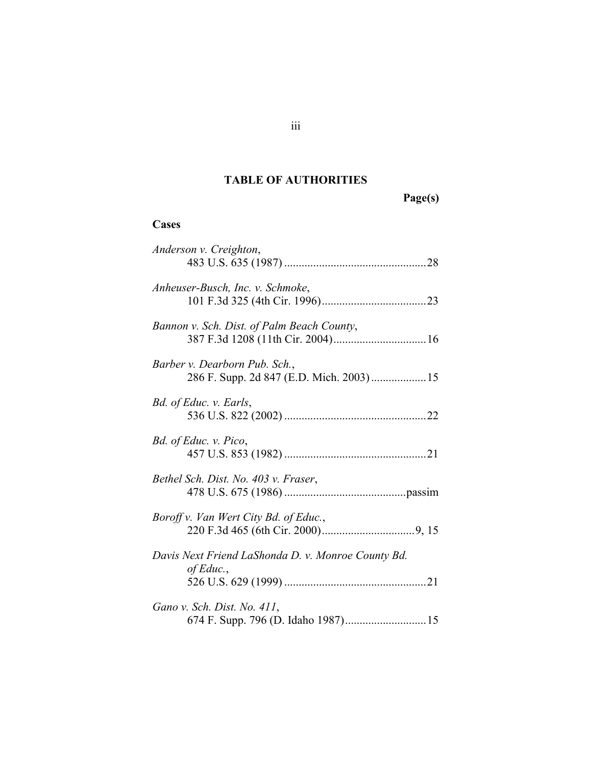## **TABLE OF AUTHORITIES**

**Page(s)** 

## <span id="page-3-0"></span>**Cases**

| Anderson v. Creighton,                                                     |
|----------------------------------------------------------------------------|
| Anheuser-Busch, Inc. v. Schmoke,                                           |
| Bannon v. Sch. Dist. of Palm Beach County,                                 |
| Barber v. Dearborn Pub. Sch.,<br>286 F. Supp. 2d 847 (E.D. Mich. 2003)  15 |
| Bd. of Educ. v. Earls,                                                     |
| Bd. of Educ. v. Pico,                                                      |
| Bethel Sch. Dist. No. 403 v. Fraser,                                       |
| Boroff v. Van Wert City Bd. of Educ.,                                      |
| Davis Next Friend LaShonda D. v. Monroe County Bd.<br>of Educ.,            |
| Gano v. Sch. Dist. No. 411,                                                |
|                                                                            |

iii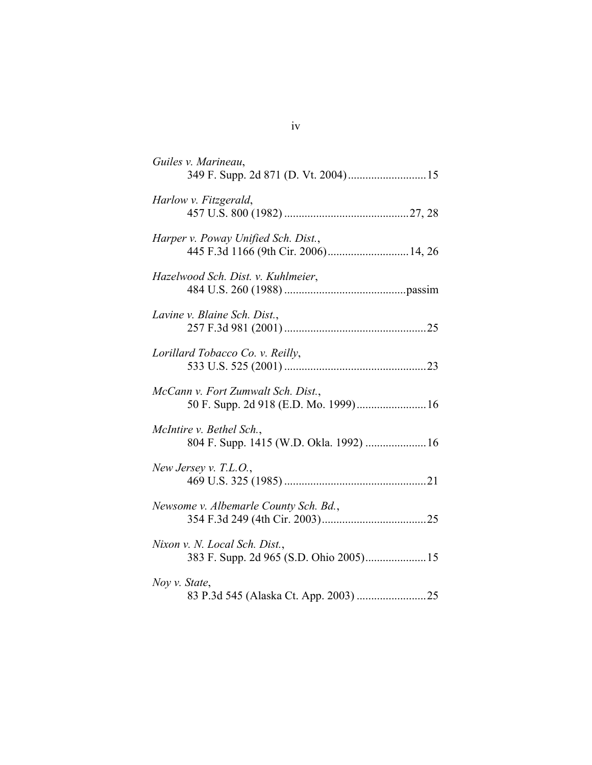| Guiles v. Marineau,                                                         |
|-----------------------------------------------------------------------------|
| Harlow v. Fitzgerald,                                                       |
| Harper v. Poway Unified Sch. Dist.,<br>445 F.3d 1166 (9th Cir. 2006) 14, 26 |
| Hazelwood Sch. Dist. v. Kuhlmeier,                                          |
| Lavine v. Blaine Sch. Dist.,                                                |
| Lorillard Tobacco Co. v. Reilly,                                            |
| McCann v. Fort Zumwalt Sch. Dist.,<br>50 F. Supp. 2d 918 (E.D. Mo. 1999) 16 |
| McIntire v. Bethel Sch.,<br>804 F. Supp. 1415 (W.D. Okla. 1992)  16         |
| New Jersey v. T.L.O.,                                                       |
| Newsome v. Albemarle County Sch. Bd.,                                       |
| Nixon v. N. Local Sch. Dist.,                                               |
| Noy v. State,                                                               |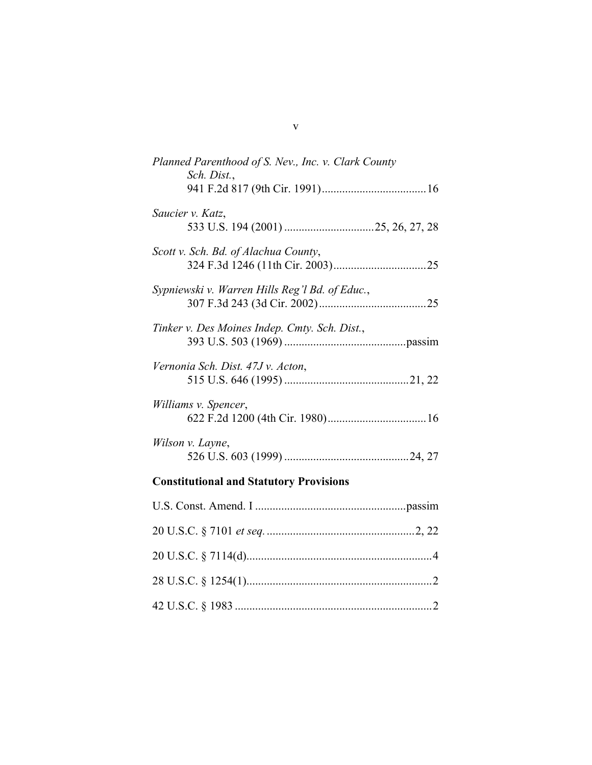| Planned Parenthood of S. Nev., Inc. v. Clark County<br>Sch. Dist., |  |
|--------------------------------------------------------------------|--|
|                                                                    |  |
| Saucier v. Katz,                                                   |  |
| Scott v. Sch. Bd. of Alachua County,                               |  |
| Sypniewski v. Warren Hills Reg'l Bd. of Educ.,                     |  |
| Tinker v. Des Moines Indep. Cmty. Sch. Dist.,                      |  |
| Vernonia Sch. Dist. 47J v. Acton,                                  |  |
| Williams v. Spencer,                                               |  |
| Wilson v. Layne,                                                   |  |
| <b>Constitutional and Statutory Provisions</b>                     |  |
|                                                                    |  |

v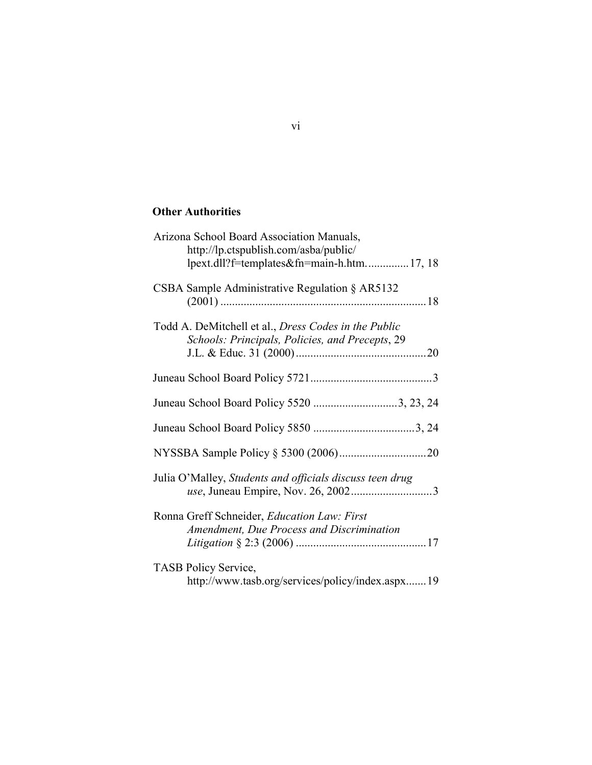## **Other Authorities**

| Arizona School Board Association Manuals,<br>http://lp.ctspublish.com/asba/public/<br>lpext.dll?f=templates&fn=main-h.htm17, 18 |
|---------------------------------------------------------------------------------------------------------------------------------|
| CSBA Sample Administrative Regulation $\S$ AR5132                                                                               |
| Todd A. DeMitchell et al., Dress Codes in the Public<br>Schools: Principals, Policies, and Precepts, 29                         |
|                                                                                                                                 |
| Juneau School Board Policy 5520 3, 23, 24                                                                                       |
|                                                                                                                                 |
|                                                                                                                                 |
| Julia O'Malley, Students and officials discuss teen drug                                                                        |
| Ronna Greff Schneider, Education Law: First<br>Amendment, Due Process and Discrimination                                        |
| <b>TASB Policy Service,</b><br>http://www.tasb.org/services/policy/index.aspx19                                                 |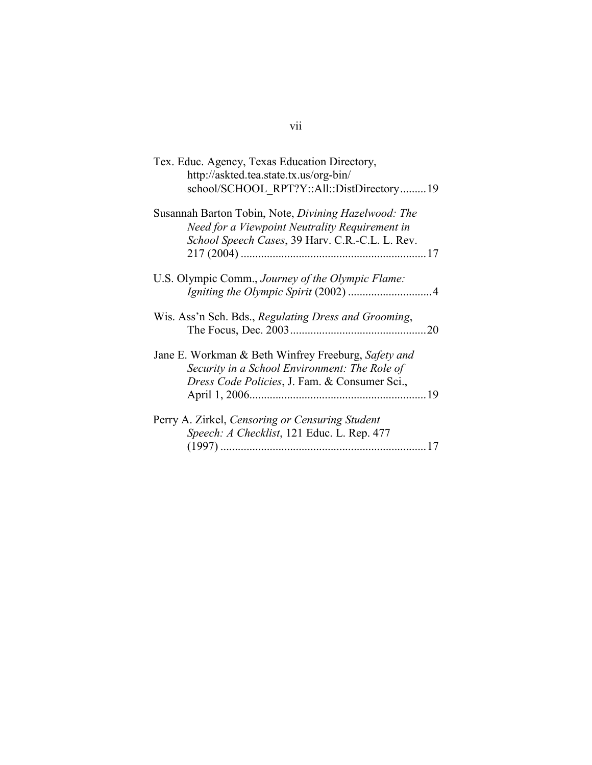| Tex. Educ. Agency, Texas Education Directory,<br>http://askted.tea.state.tx.us/org-bin/                                                                   |
|-----------------------------------------------------------------------------------------------------------------------------------------------------------|
| school/SCHOOL RPT?Y::All::DistDirectory19                                                                                                                 |
| Susannah Barton Tobin, Note, Divining Hazelwood: The<br>Need for a Viewpoint Neutrality Requirement in<br>School Speech Cases, 39 Harv. C.R.-C.L. L. Rev. |
|                                                                                                                                                           |
| U.S. Olympic Comm., Journey of the Olympic Flame:                                                                                                         |
| Wis. Ass'n Sch. Bds., Regulating Dress and Grooming,<br>20                                                                                                |
| Jane E. Workman & Beth Winfrey Freeburg, Safety and<br>Security in a School Environment: The Role of<br>Dress Code Policies, J. Fam. & Consumer Sci.,     |
| Perry A. Zirkel, Censoring or Censuring Student                                                                                                           |
| Speech: A Checklist, 121 Educ. L. Rep. 477                                                                                                                |

# vii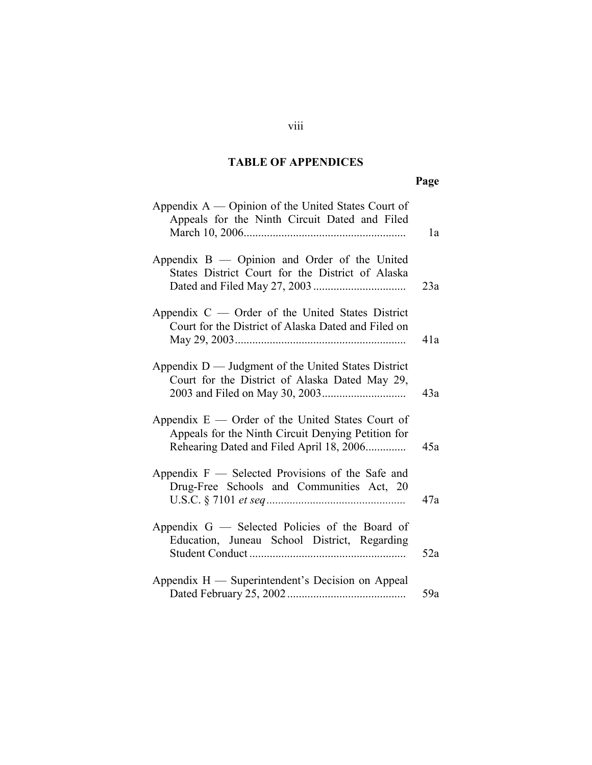# **TABLE OF APPENDICES**

# **Page**

<span id="page-8-0"></span>

| Appendix $A$ — Opinion of the United States Court of<br>Appeals for the Ninth Circuit Dated and Filed                                                | 1a  |
|------------------------------------------------------------------------------------------------------------------------------------------------------|-----|
| Appendix B — Opinion and Order of the United<br>States District Court for the District of Alaska                                                     | 23a |
| Appendix C — Order of the United States District<br>Court for the District of Alaska Dated and Filed on                                              | 41a |
| Appendix $D$ — Judgment of the United States District<br>Court for the District of Alaska Dated May 29,                                              | 43a |
| Appendix $E$ — Order of the United States Court of<br>Appeals for the Ninth Circuit Denying Petition for<br>Rehearing Dated and Filed April 18, 2006 | 45a |
| Appendix $F$ — Selected Provisions of the Safe and<br>Drug-Free Schools and Communities Act, 20                                                      | 47a |
| Appendix $G$ — Selected Policies of the Board of<br>Education, Juneau School District, Regarding                                                     | 52a |
| Appendix H - Superintendent's Decision on Appeal                                                                                                     | 59a |

## viii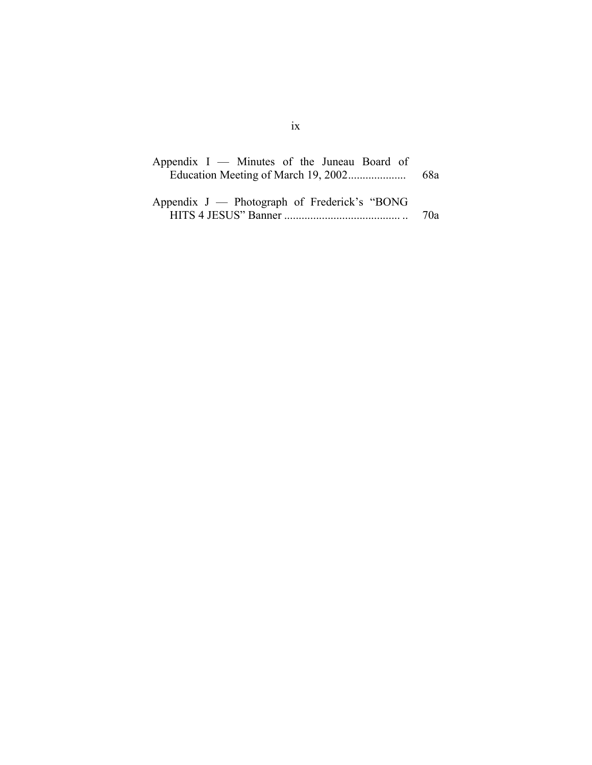| Appendix $I$ — Minutes of the Juneau Board of |       |
|-----------------------------------------------|-------|
|                                               | - 68a |
|                                               |       |
| Appendix J — Photograph of Frederick's "BONG" |       |
|                                               | 70а   |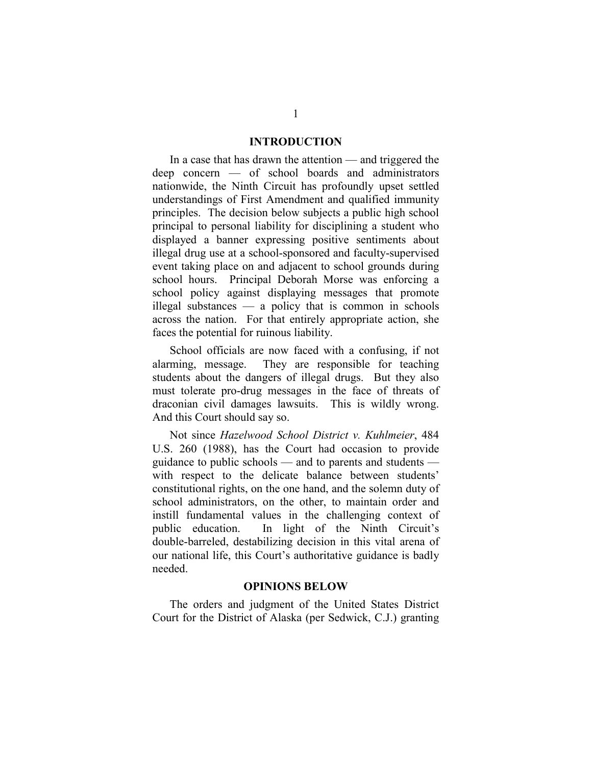#### **INTRODUCTION**

<span id="page-10-0"></span>In a case that has drawn the attention — and triggered the deep concern — of school boards and administrators nationwide, the Ninth Circuit has profoundly upset settled understandings of First Amendment and qualified immunity principles. The decision below subjects a public high school principal to personal liability for disciplining a student who displayed a banner expressing positive sentiments about illegal drug use at a school-sponsored and faculty-supervised event taking place on and adjacent to school grounds during school hours. Principal Deborah Morse was enforcing a school policy against displaying messages that promote illegal substances — a policy that is common in schools across the nation. For that entirely appropriate action, she faces the potential for ruinous liability.

School officials are now faced with a confusing, if not alarming, message. They are responsible for teaching students about the dangers of illegal drugs. But they also must tolerate pro-drug messages in the face of threats of draconian civil damages lawsuits. This is wildly wrong. And this Court should say so.

Not since *Hazelwood School District v. Kuhlmeier*, 484 U.S. 260 (1988), has the Court had occasion to provide guidance to public schools — and to parents and students with respect to the delicate balance between students' constitutional rights, on the one hand, and the solemn duty of school administrators, on the other, to maintain order and instill fundamental values in the challenging context of public education. In light of the Ninth Circuit's double-barreled, destabilizing decision in this vital arena of our national life, this Court's authoritative guidance is badly needed.

#### **OPINIONS BELOW**

The orders and judgment of the United States District Court for the District of Alaska (per Sedwick, C.J.) granting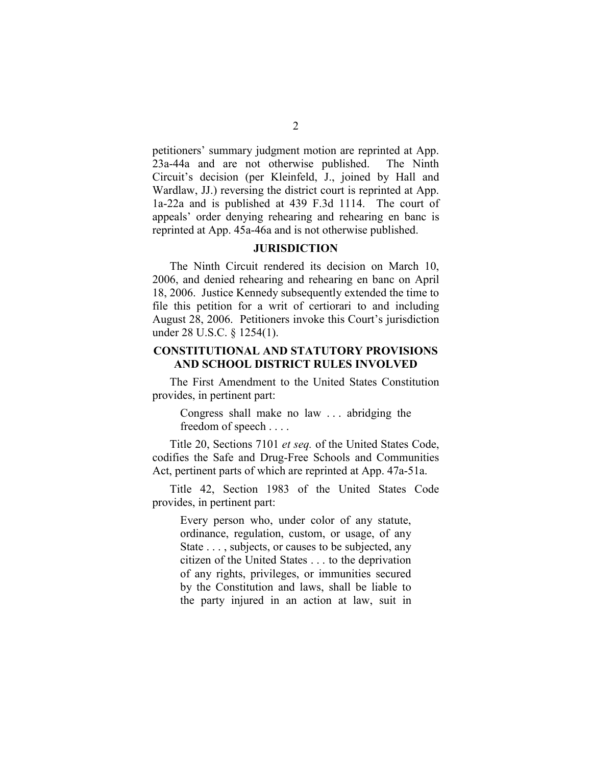<span id="page-11-0"></span>petitioners' summary judgment motion are reprinted at App. 23a-44a and are not otherwise published. The Ninth Circuit's decision (per Kleinfeld, J., joined by Hall and Wardlaw, JJ.) reversing the district court is reprinted at App. 1a-22a and is published at 439 F.3d 1114. The court of appeals' order denying rehearing and rehearing en banc is reprinted at App. 45a-46a and is not otherwise published.

#### **JURISDICTION**

The Ninth Circuit rendered its decision on March 10, 2006, and denied rehearing and rehearing en banc on April 18, 2006. Justice Kennedy subsequently extended the time to file this petition for a writ of certiorari to and including August 28, 2006. Petitioners invoke this Court's jurisdiction under 28 U.S.C. § 1254(1).

### **CONSTITUTIONAL AND STATUTORY PROVISIONS AND SCHOOL DISTRICT RULES INVOLVED**

The First Amendment to the United States Constitution provides, in pertinent part:

Congress shall make no law . . . abridging the freedom of speech . . . .

Title 20, Sections 7101 *et seq.* of the United States Code, codifies the Safe and Drug-Free Schools and Communities Act, pertinent parts of which are reprinted at App. 47a-51a.

Title 42, Section 1983 of the United States Code provides, in pertinent part:

Every person who, under color of any statute, ordinance, regulation, custom, or usage, of any State . . . , subjects, or causes to be subjected, any citizen of the United States . . . to the deprivation of any rights, privileges, or immunities secured by the Constitution and laws, shall be liable to the party injured in an action at law, suit in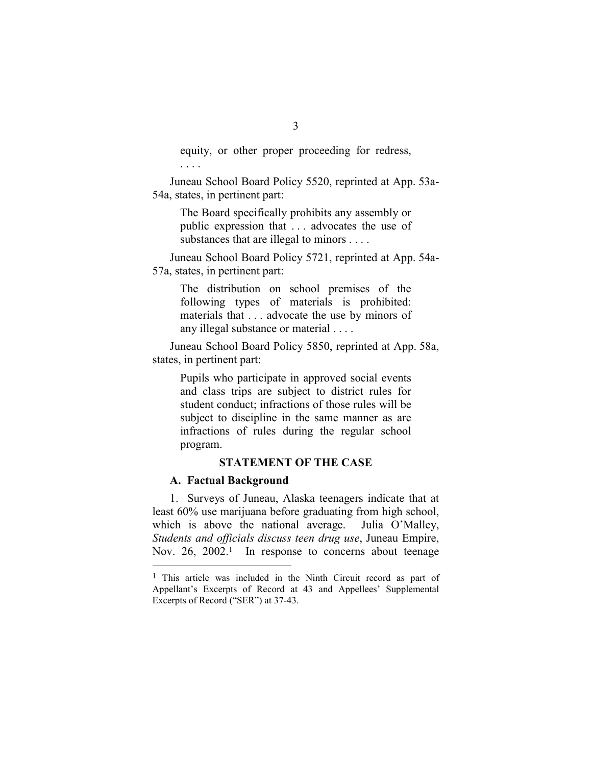equity, or other proper proceeding for redress, . . . .

Juneau School Board Policy 5520, reprinted at App. 53a-54a, states, in pertinent part:

The Board specifically prohibits any assembly or public expression that . . . advocates the use of substances that are illegal to minors . . . .

Juneau School Board Policy 5721, reprinted at App. 54a-57a, states, in pertinent part:

The distribution on school premises of the following types of materials is prohibited: materials that . . . advocate the use by minors of any illegal substance or material . . . .

Juneau School Board Policy 5850, reprinted at App. 58a, states, in pertinent part:

Pupils who participate in approved social events and class trips are subject to district rules for student conduct; infractions of those rules will be subject to discipline in the same manner as are infractions of rules during the regular school program.

### **STATEMENT OF THE CASE**

#### **A. Factual Background**

 $\overline{a}$ 

1. Surveys of Juneau, Alaska teenagers indicate that at least 60% use marijuana before graduating from high school, which is above the national average. Julia O'Malley, *Students and officials discuss teen drug use*, Juneau Empire, Nov. 26, 2002.<sup>1</sup> In response to concerns about teenage

<sup>1</sup> This article was included in the Ninth Circuit record as part of Appellant's Excerpts of Record at 43 and Appellees' Supplemental Excerpts of Record ("SER") at 37-43.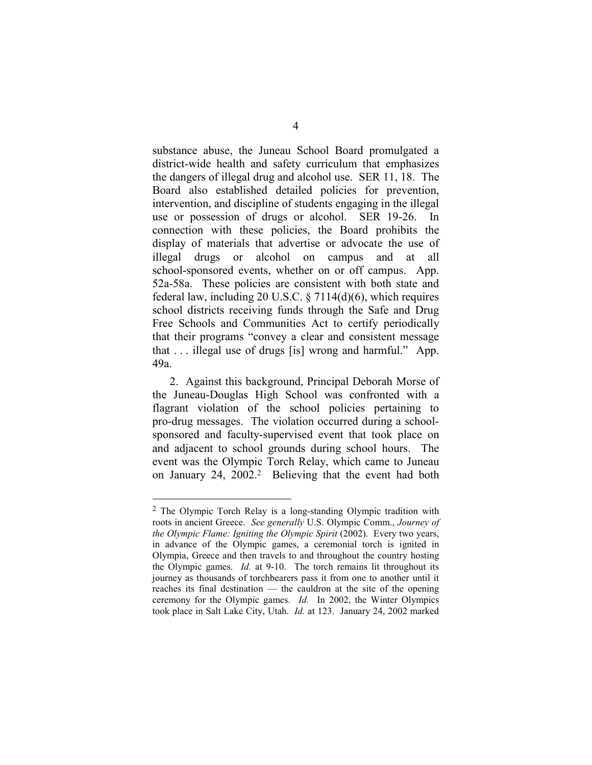<span id="page-13-0"></span>substance abuse, the Juneau School Board promulgated a district-wide health and safety curriculum that emphasizes the dangers of illegal drug and alcohol use. SER 11, 18. The Board also established detailed policies for prevention, intervention, and discipline of students engaging in the illegal use or possession of drugs or alcohol. SER 19-26. In connection with these policies, the Board prohibits the display of materials that advertise or advocate the use of illegal drugs or alcohol on campus and at all school-sponsored events,whether on or off campus. App. 52a-58a. These policies are consistent with both state and federal law, including 20 U.S.C. § 7114(d)(6), which requires school districts receiving funds through the Safe and Drug Free Schools and Communities Act to certify periodically that their programs "convey a clear and consistent message that . . . illegal use of drugs [is] wrong and harmful." App. 49a.

2. Against this background, Principal Deborah Morse of the Juneau-Douglas High School was confronted with a flagrant violation of the school policies pertaining to pro-drug messages. The violation occurred during a schoolsponsored and faculty-supervised event that took place on and adjacent to school grounds during school hours. The event was the Olympic Torch Relay, which came to Juneau on January 24, 2002.<sup>2</sup> Believing that the event had both

<span id="page-13-1"></span><sup>2</sup> The Olympic Torch Relay is a long-standing Olympic tradition with roots in ancient Greece. *See generally* U.S. Olympic Comm., *Journey of the Olympic Flame: Igniting the Olympic Spirit* (2002). Every two years, in advance of the Olympic games, a ceremonial torch is ignited in Olympia, Greece and then travels to and throughout the country hosting the Olympic games. *Id.* at 9-10. The torch remains lit throughout its journey as thousands of torchbearers pass it from one to another until it reaches its final destination — the cauldron at the site of the opening ceremony for the Olympic games. *Id.* In 2002, the Winter Olympics took place in Salt Lake City, Utah. *Id.* at 123. January 24, 2002 marked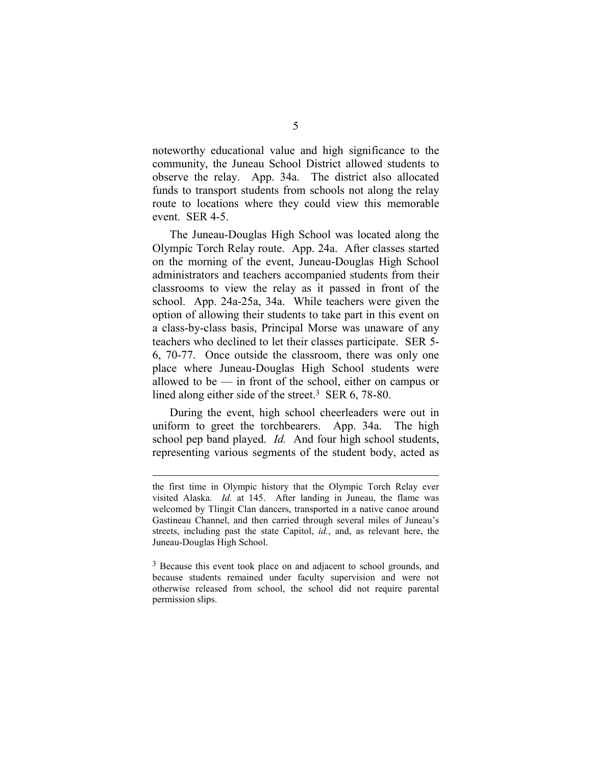noteworthy educational value and high significance to the community, the Juneau School District allowed students to observe the relay. App. 34a. The district also allocated funds to transport students from schools not along the relay route to locations w[he](#page-14-0)re they could view this memorable event. SER 4-5.

The Juneau-Douglas High School was located along the Olympic Torch Relay route. App. 24a. After classes started on the morning of the event, Juneau-Douglas High School administrators and teachers accompanied students from their classrooms to view the relay as it passed in front of the school. App. 24a-25a, 34a. While teachers were given the option of allowing their students to take part in this event on a class-by-class basis, Principal Morse was unaware of any teachers who declined to let their classes participate. SER 5- 6, 70-77. Once outside the classroom, there was only one place where Juneau-Douglas High School students were allowed to be — in front of the school, either on campus or lined along either side of the street.<sup>3</sup> SER 6, 78-80.

<span id="page-14-0"></span>During the event, high school cheerleaders were out in uniform to greet the torchbearers. App. 34a. The high school pep band played. *Id.* And four high school students, representing various segments of the student body, acted as

the first time in Olympic history that the Olympic Torch Relay ever visited Alaska. *Id.* at 145. After landing in Juneau, the flame was welcomed by Tlingit Clan dancers, transported in a native canoe around Gastineau Channel, and then carried through several miles of Juneau's streets, including past the state Capitol, *id.*, and, as relevant here, the Juneau-Douglas High School.

<sup>&</sup>lt;sup>3</sup> Because this event took place on and adjacent to school grounds, and because students remained under faculty supervision and were not otherwise released from school, the school did not require parental permission slips.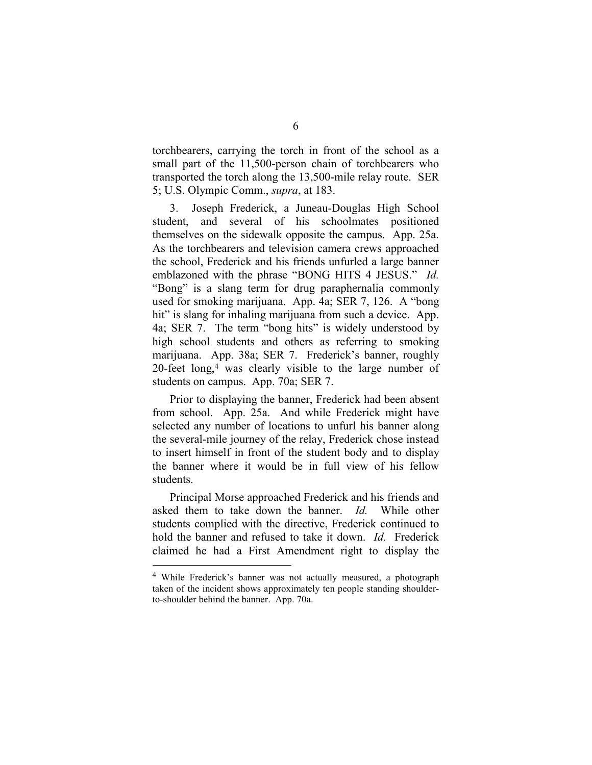torchbearers, carrying the torch in front of the school as a small part of the 11,500-person chain of torchbearers who transported the torch along the 13,500-mile relay route. SER 5; U.S. Olympic Comm., *supra*, at 183.

3. Joseph Frederick, a Jun[ea](#page-15-0)u-Douglas High School student, and several of his schoolmates positioned themselves on the sidewalk opposite the campus. App. 25a. As the torchbearers and television camera crews approached the school, Frederick and his friends unfurled a large banner emblazoned with the phrase "BONG HITS 4 JESUS." *Id.* "Bong" is a slang term for drug paraphernalia commonly used for smoking marijuana. App. 4a; SER 7, 126. A "bong hit" is slang for inhaling marijuana from such a device. App. 4a; SER 7. The term "bong hits" is widely understood by high school students and others as referring to smoking marijuana. App. 38a; SER 7. Frederick's banner, roughly 20-feet long,4 was clearly visible to the large number of students on campus. App. 70a; SER 7.

Prior to displaying the banner, Frederick had been absent from school. App. 25a. And while Frederick might have selected any number of locations to unfurl his banner along the several-mile journey of the relay, Frederick chose instead to insert himself in front of the student body and to display the banner where it would be in full view of his fellow students.

Principal Morse approached Frederick and his friends and asked them to take down the banner. *Id.* While other students complied with the directive, Frederick continued to hold the banner and refused to take it down. *Id.* Frederick claimed he had a First Amendment right to display the

<span id="page-15-0"></span><sup>4</sup> While Frederick's banner was not actually measured, a photograph taken of the incident shows approximately ten people standing shoulderto-shoulder behind the banner. App. 70a.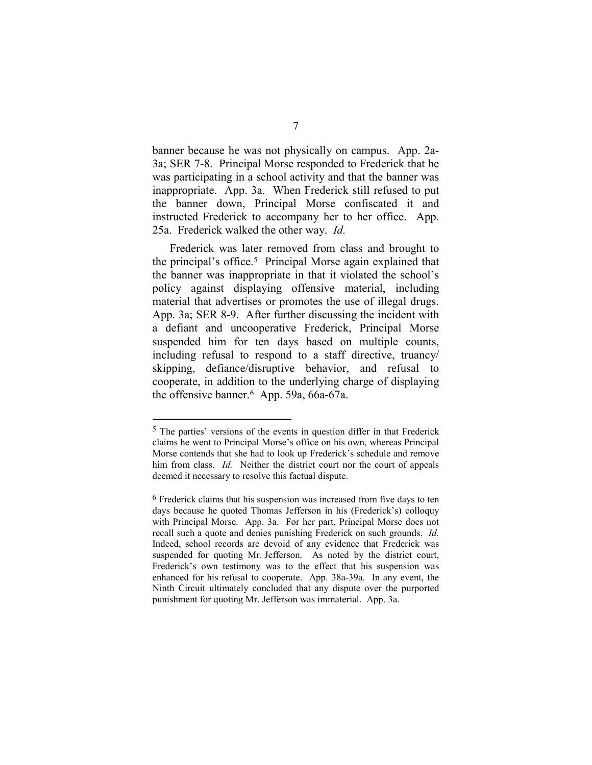banner beca[use](#page-16-0) he was not physically on campus. App. 2a-3a; SER 7-8. Principal Morse responded to Frederick that he was participating in a school activity and that the banner was inappropriate. App. 3a. When Frederick still refused to put the banner down, Principal Morse confiscated it and instructed Frederick to accompany her to her office. App. 25a. Frederick walked the other way. *Id.* 

Frederick was later removed from class and brought to the principal's office.5 Principal Morse again explained that the banner was inappropriate in that it violated the school's policy against displaying offensive material, including material that advertises or promotes the use of illegal drugs. App. 3a; SER 8-9. After further discussing the incident with a defiant and uncooperative Frederick, Principal Morse suspended him for ten days based on multiple counts, including refusal to respond to a staff directive, truancy/ skipping, defiance/disruptive behavior, and refusal to cooperate, in addition to the underlying charge of displaying the offensive banner.6 App. 59a, 66a-67a.

<sup>5</sup> The parties' versions of the events in question differ in that Frederick claims he went to Principal Morse's office on his own, whereas Principal Morse contends that she had to look up Frederick's schedule and remove him from class. *Id.* Ne[ith](#page-16-1)er the district court nor the court of appeals deemed it necessary to resolve this factual dispute.

<span id="page-16-1"></span><span id="page-16-0"></span><sup>6</sup> Frederick claims that his suspension was increased from five days to ten days because he quoted Thomas Jefferson in his (Frederick's) colloquy with Principal Morse. App. 3a. For her part, Principal Morse does not recall such a quote and denies punishing Frederick on such grounds. *Id.* Indeed, school records are devoid of any evidence that Frederick was suspended for quoting Mr. Jefferson. As noted by the district court, Frederick's own testimony was to the effect that his suspension was enhanced for his refusal to cooperate. App. 38a-39a. In any event, the Ninth Circuit ultimately concluded that any dispute over the purported punishment for quoting Mr. Jefferson was immaterial. App. 3a.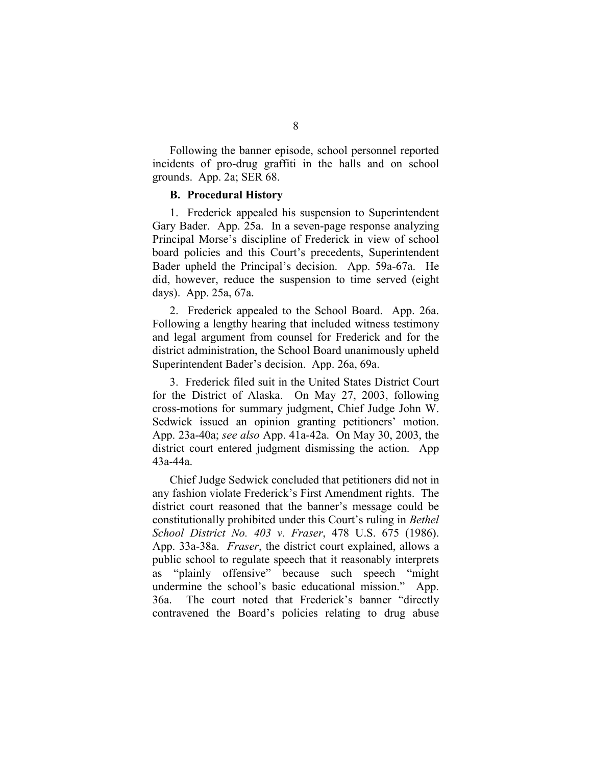<span id="page-17-0"></span>Following the banner episode, school personnel reported incidents of pro-drug graffiti in the halls and on school grounds. App. 2a; SER 68.

#### **B. Procedural History**

1. Frederick appealed his suspension to Superintendent Gary Bader. App. 25a. In a seven-page response analyzing Principal Morse's discipline of Frederick in view of school board policies and this Court's precedents, Superintendent Bader upheld the P[rin](#page-17-1)cipal's decision. App. 59a-67a. He did, however, reduce the suspension to time served (eight days). App. 25a, 67a.

2. Frederick appealed to the School Board. App. 26a. Following a lengthy hearing that included witness testimony and legal argument from counsel for Frederick and for the district administration, the School Board unanimously upheld Superintendent Bader's decision. App. 26a, 69a.

3. Frederick filed suit in the United States District Court for the District of Alaska. On May 27, 2003, following cross-motions for summary judgment, Chief Judge John W. Sedwick issued an opinion granting petitioners' motion. App. 23a-40a; *see also* App. 41a-42a. On May 30, 2003, the district court entered judgment dismissing the action. App 43a-44a.

<span id="page-17-1"></span>Chief Judge Sedwick concluded that petitioners did not in any fashion violate Frederick's First Amendment rights. The district court reasoned that the banner's message could be constitutionally prohibited under this Court's ruling in *Bethel School District No. 403 v. Fraser*, 478 U.S. 675 (1986). App. 33a-38a. *Fraser*, the district court explained, allows a public school to regulate speech that it reasonably interprets as "plainly offensive" because such speech "might undermine the school's basic educational mission." App. 36a. The court noted that Frederick's banner "directly contravened the Board's policies relating to drug abuse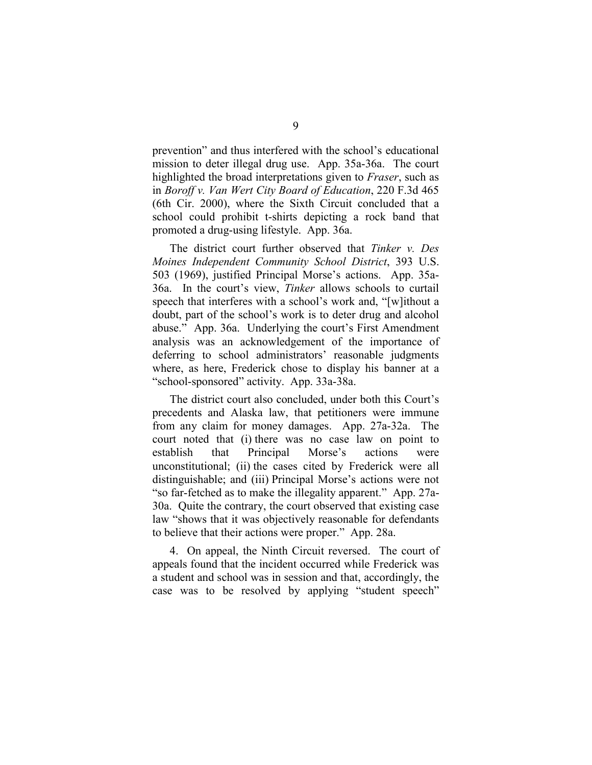prevention" and thus interfered with the school's educational mission to deter illegal drug use. App. 35a-36a. The court highlighted the broad interpretations given to *Fraser*, such as in *Boroff v. Van Wert City Board of Education*, 220 F.3d 465 (6th Cir. 2000), where the Sixth Circuit concluded that a school could prohibit t-shirts depicting a rock band that promoted a drug-using lifestyle. App. 36a.

The district court further observed that *Tinker v. Des Moines Independent Community School District*, 393 U.S. 503 (1969), justified Principal Morse's actions. App. 35a-36a. In the court's view, *Tinker* allows schools to curtail speech that interferes with a school's work and, "[w]ithout a doubt, part of the school's work is to deter drug and alcohol abuse." App. 36a. Underlying the court's First Amendment analysis was an acknowledgement of the importance of deferring to school administrators' reasonable judgments where, as here, Frederick chose to display his banner at a "school-sponsored" activity. App. 33a-38a.

The district court also concluded, under both this Court's precedents and Alaska law, that petitioners were immune from any claim for money damages. App. 27a-32a. The court noted that (i) there was no case law on point to establish that Principal Morse's actions were unconstitutional; (ii) the cases cited by Frederick were all distinguishable; and (iii) Principal Morse's actions were not "so far-fetched as to make the illegality apparent." App. 27a-30a. Quite the contrary, the court observed that existing case law "shows that it was objectively reasonable for defendants to believe that their actions were proper." App. 28a.

4. On appeal, the Ninth Circuit reversed. The court of appeals found that the incident occurred while Frederick was a student and school was in session and that, accordingly, the case was to be resolved by applying "student speech"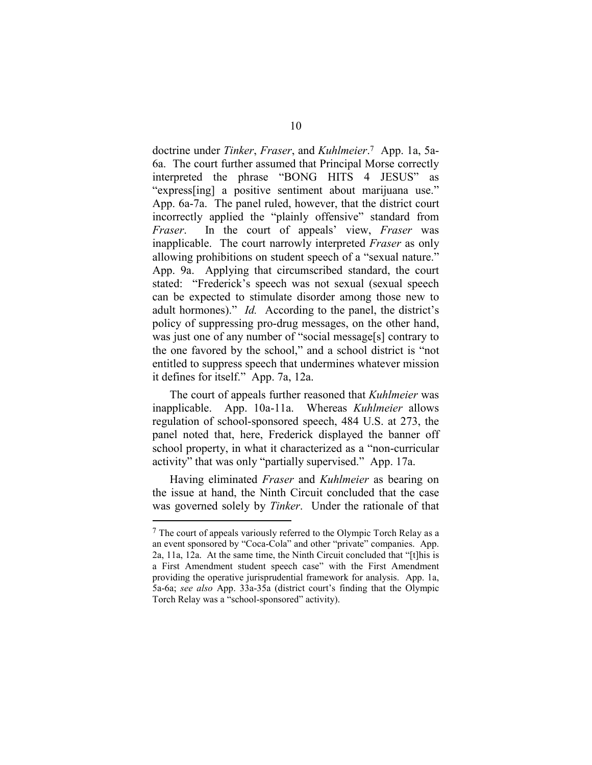<span id="page-19-0"></span>doctrine under *Tinker*, *Fraser*, and *Kuhlmeier*.7 App. 1a, 5a-6a. The court further assumed that Principal Morse correctly interpreted the phrase "BONG HITS 4 JESUS" as "express[ing] a positive sentiment about marijuana use." App. 6a-7a. The panel ruled, however, that the district court incorrectly applied the "plainly offensive" standard from *Fraser*. In the court of appeals' view, *Fraser* was inapplicable. The court narrowly interpreted *Fraser* as only allowing prohibitions on student speech of a "sexual nature." App. 9a. Applying that circumscribed standard, the court stated: "Frederick's speech was not sexual (sexual speech can be expected to stimulate disorder among those new to adult hormones)." *Id.* According to the panel, the district's policy of suppressing pro-drug messages, on the other hand, was just one of any number of "social message[s] contrary to the one favored by the school," and a school district is "not entitled to suppress speech that undermines whatever mission it defines for itself." App. 7a, 12a.

The court of appeals further reasoned that *Kuhlmeier* was inapplicable. App. 10a-11a. Whereas *Kuhlmeier* allows regulation of school-sponsored speech, 484 U.S. at 273, the panel noted that, here, Frederick displayed the banner off school property, in what it characterized as a "non-curricular activity" that was only "partially supervised." App. 17a.

Having eliminated *Fraser* and *Kuhlmeier* as bearing on the issue at hand, the Ninth Circuit concluded that the case was governed solely by *Tinker*. Under the rationale of that

 $7$  The court of appeals variously referred to the Olympic Torch Relay as a an event sponsored by "Coca-Cola" and other "private" companies. App. 2a, 11a, 12a. At the same time, the Ninth Circuit concluded that "[t]his is a First Amendment student speech case" with the First Amendment providing the operative jurisprudential framework for anal[ysi](#page-19-0)s. App. 1a, 5a-6a; *see also* App. 33a-35a (district court's finding that the Olympic Torch Relay was a "school-sponsored" activity).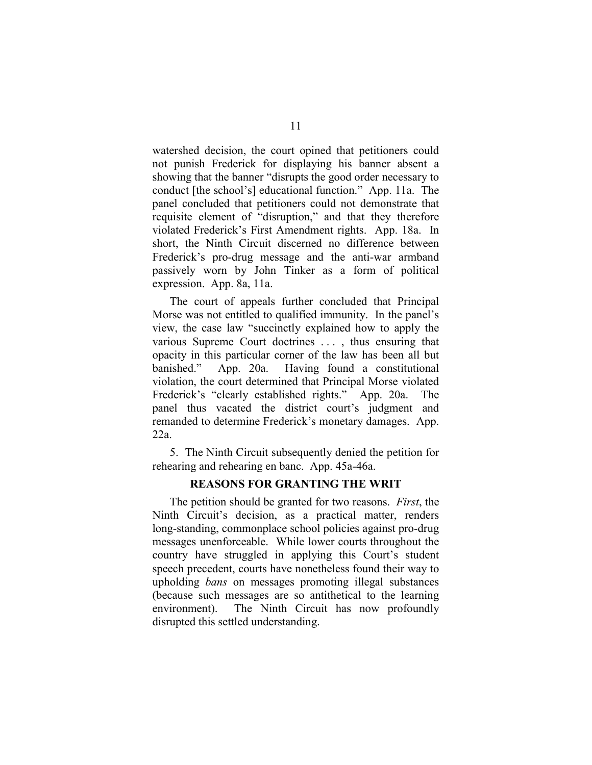watershed decision, the court opined that petitioners could not punish Frederick for displaying his banner absent a showing that the banner "disrupts the good order necessary to conduct [the school's] educational function." App. 11a. The panel concluded that petitioners could not demonstrate that requisite element of "disruption," and that they therefore violated Frederick's First Amendment rights. App. 18a. In short, the Ninth Circuit discerned no difference between Frederick's pro-drug message and the anti-war armband passively worn by John Tinker as a form of political expression. App. 8a, 11a.

The court of appeals further concluded that Principal Morse was not entitled to qualified immunity. In the panel's view, the case law "succinctly explained how to apply the various Supreme Court doctrines . . . , thus ensuring that opacity in this particular corner of the law has been all but banished." App. 20a. Having found a constitutional violation, the court determined that Principal Morse violated Frederick's "clearly established rights." App. 20a. The panel thus vacated the district court's judgment and remanded to determine Frederick's monetary damages. App. 22a.

5. The Ninth Circuit subsequently denied the petition for rehearing and rehearing en banc. App. 45a-46a.

#### **REASONS FOR GRANTING THE WRIT**

The petition should be granted for two reasons. *First*, the Ninth Circuit's decision, as a practical matter, renders long-standing, commonplace school policies against pro-drug messages unenforceable. While lower courts throughout the country have struggled in applying this Court's student speech precedent, courts have nonetheless found their way to upholding *bans* on messages promoting illegal substances (because such messages are so antithetical to the learning environment). The Ninth Circuit has now profoundly disrupted this settled understanding.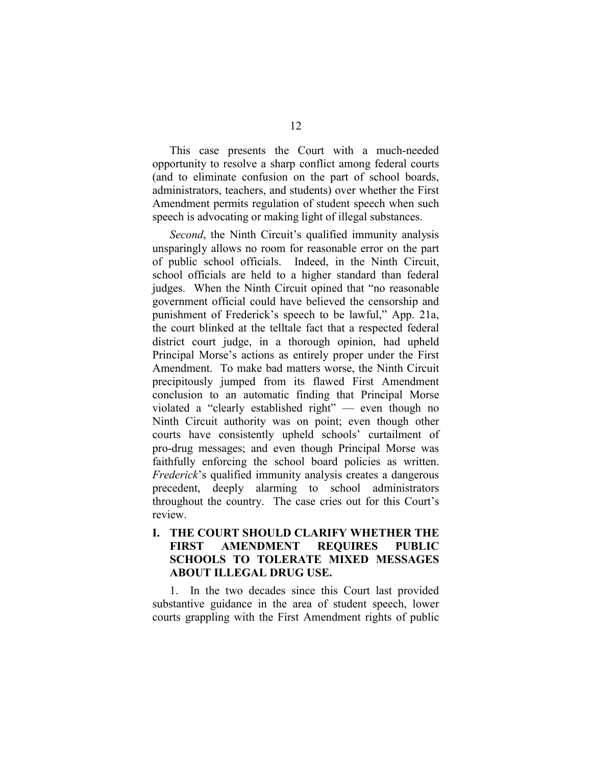<span id="page-21-0"></span>This case presents the Court with a much-needed opportunity to resolve a sharp conflict among federal courts (and to eliminate confusion on the part of school boards, administrators, teachers, and students) over whether the First Amendment permits regulation of student speech when such speech is advocating or making light of illegal substances.

*Second*, the Ninth Circuit's qualified immunity analysis unsparingly allows no room for reasonable error on the part of public school officials. Indeed, in the Ninth Circuit, school officials are held to a higher standard than federal judges. When the Ninth Circuit opined that "no reasonable government official could have believed the censorship and punishment of Frederick's speech to be lawful," App. 21a, the court blinked at the telltale fact that a respected federal district court judge, in a thorough opinion, had upheld Principal Morse's actions as entirely proper under the First Amendment. To make bad matters worse, the Ninth Circuit precipitously jumped from its flawed First Amendment conclusion to an automatic finding that Principal Morse violated a "clearly established right" — even though no Ninth Circuit authority was on point; even though other courts have consistently upheld schools' curtailment of pro-drug messages; and even though Principal Morse was faithfully enforcing the school board policies as written. *Frederick*'s qualified immunity analysis creates a dangerous precedent, deeply alarming to school administrators throughout the country. The case cries out for this Court's review.

## **I. THE COURT SHOULD CLARIFY WHETHER THE FIRST AMENDMENT REQUIRES PUBLIC SCHOOLS TO TOLERATE MIXED MESSAGES ABOUT ILLEGAL DRUG USE.**

1. In the two decades since this Court last provided substantive guidance in the area of student speech, lower courts grappling with the First Amendment rights of public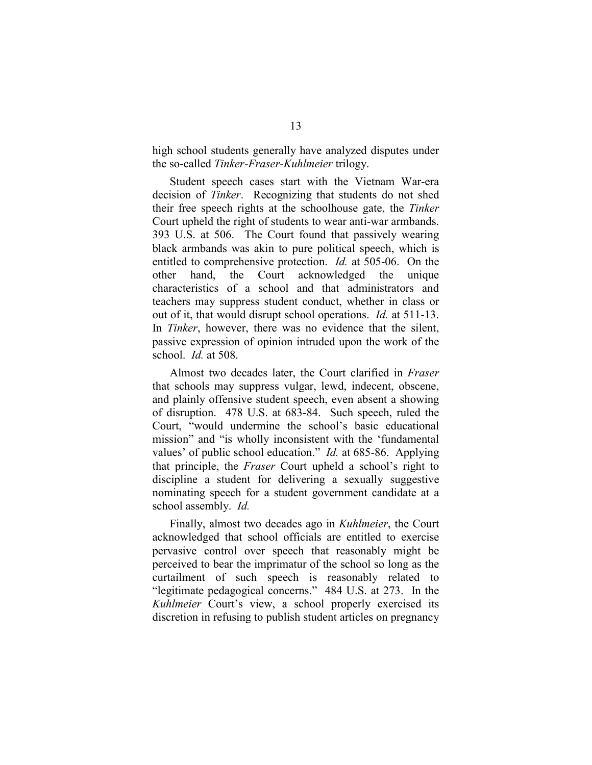high school students generally have analyzed disputes under the so-called *Tinker-Fraser-Kuhlmeier* trilogy.

Student speech cases start with the Vietnam War-era decision of *Tinker*. Recognizing that students do not shed their free speech rights at the schoolhouse gate, the *Tinker* Court upheld the right of students to wear anti-war armbands. 393 U.S. at 506. The Court found that passively wearing black armbands was akin to pure political speech, which is entitled to comprehensive protection. *Id.* at 505-06. On the other hand, the Court acknowledged the unique characteristics of a school and that administrators and teachers may suppress student conduct, whether in class or out of it, that would disrupt school operations. *Id.* at 511-13. In *Tinker*, however, there was no evidence that the silent, passive expression of opinion intruded upon the work of the school. *Id.* at 508.

Almost two decades later, the Court clarified in *Fraser* that schools may suppress vulgar, lewd, indecent, obscene, and plainly offensive student speech, even absent a showing of disruption. 478 U.S. at 683-84. Such speech, ruled the Court, "would undermine the school's basic educational mission" and "is wholly inconsistent with the 'fundamental values' of public school education." *Id.* at 685-86. Applying that principle, the *Fraser* Court upheld a school's right to discipline a student for delivering a sexually suggestive nominating speech for a student government candidate at a school assembly. *Id.*

Finally, almost two decades ago in *Kuhlmeier*, the Court acknowledged that school officials are entitled to exercise pervasive control over speech that reasonably might be perceived to bear the imprimatur of the school so long as the curtailment of such speech is reasonably related to "legitimate pedagogical concerns." 484 U.S. at 273. In the *Kuhlmeier* Court's view, a school properly exercised its discretion in refusing to publish student articles on pregnancy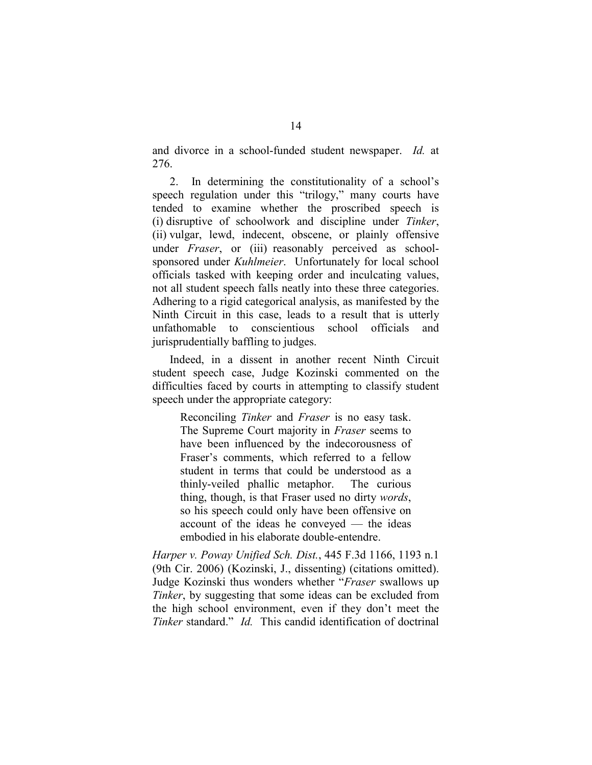<span id="page-23-0"></span>and divorce in a school-funded student newspaper. *Id.* at 276.

2. In determining the constitutionality of a school's speech regulation under this "trilogy," many courts have tended to examine whether the proscribed speech is (i) disruptive of schoolwork and discipline under *Tinker*, (ii) vulgar, lewd, indecent, obscene, or plainly offensive under *Fraser*, or (iii) reasonably perceived as schoolsponsored under *Kuhlmeier*. Unfortunately for local school officials tasked with keeping order and inculcating values, not all student speech falls neatly into these three categories. Adhering to a rigid categorical analysis, as manifested by the Ninth Circuit in this case, leads to a result that is utterly unfathomable to conscientious school officials and jurisprudentially baffling to judges.

Indeed, in a dissent in another recent Ninth Circuit student speech case, Judge Kozinski commented on the difficulties faced by courts in attempting to classify student speech under the appropriate category:

Reconciling *Tinker* and *Fraser* is no easy task. The Supreme Court majority in *Fraser* seems to have been influenced by the indecorousness of Fraser's comments, which referred to a fellow student in terms that could be understood as a thinly-veiled phallic metaphor. The curious thing, though, is that Fraser used no dirty *words*, so his speech could only have been offensive on account of the ideas he conveyed — the ideas embodied in his elaborate double-entendre.

*Harper v. Poway Unified Sch. Dist.*, 445 F.3d 1166, 1193 n.1 (9th Cir. 2006) (Kozinski, J., dissenting) (citations omitted). Judge Kozinski thus wonders whether "*Fraser* swallows up *Tinker*, by suggesting that some ideas can be excluded from the high school environment, even if they don't meet the *Tinker* standard." *Id.* This candid identification of doctrinal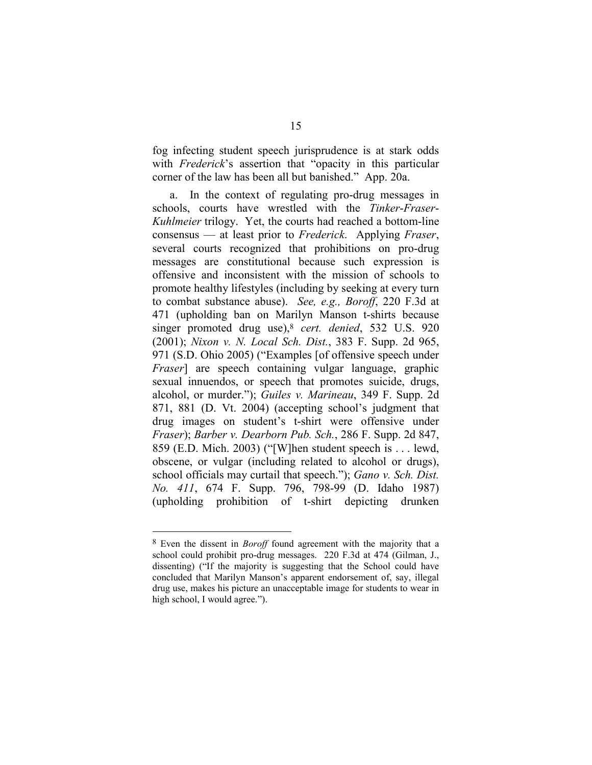fog infecting student speech jurisprudence is at stark odds with *Frederick*'s assertion that "opacity in this particular corner of the law has been all but banished." App. 20a.

a. In the context of regulating pro-drug messages in schools, courts have wrestled with the *Tinker*-*Fraser*-*Kuhlmeier* trilogy. Yet, the courts had reached a bottom-line consensus — at least prior to *Frederick*. Applying *Fraser*, several courts recognized that prohibitions on pro-drug messages are constitutional because such expression is offensive and inconsistent with the mission of schools to promote healthy lifestyles (including by seeking at every turn to combat substance abuse). *See, e.g., Boroff*, 220 F.3d at 471 (upholding ban on Marilyn Manson t-shirts because singer promoted drug use),8 *cert. denied*, 532 U.S. 920 (2001); *Nixon v. N. Local Sch. Dist.*, 383 F. Supp. 2d 965, 971 (S.D. Ohio 2005) ("Examples [of offensive speech under *Fraser*] are speech containing vulgar language, graphic sexual innuendos, or speech that promotes suicide, drugs, alcohol, or murder."); *Guiles v. Marineau*, 349 F. Supp. 2d 871, 881 (D. Vt. 2004) (accepting school's judgment that drug images on student's t-shirt were offensive under *Fraser*); *Barber v. Dearborn Pub. Sch.*, 286 F. Supp. 2d 847, 859 (E.D. Mich. 2003) ("[W]hen student speech is . . . lewd, obscene, or vulgar (including related to alcohol or drugs), school officials may curtail that speech."); *Gano v. Sch. Dist. No. 411*, 674 F. Supp. 796, 798-99 (D. Idaho 1987) (upholding prohibition of t-shirt depicting drunken

<sup>8</sup> Even the dissent in *Boroff* found agreement with the majority that a school could prohibit pro-drug messages. 220 F.3d at 474 (Gilman, J., dissenting) ("If the majority is suggesting that the School could have concluded that Marilyn Manson's apparent endorsement of, say, illegal drug use, makes his picture an unacceptable image for students to wear in high school, I would agree.").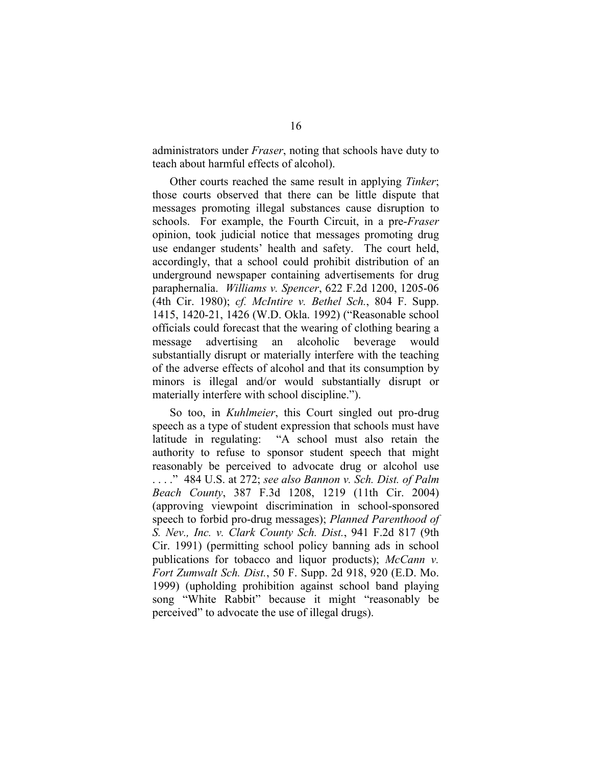<span id="page-25-0"></span>administrators under *Fraser*, noting that schools have duty to teach about harmful effects of alcohol).

Other courts reached the same result in applying *Tinker*; those courts observed that there can be little dispute that messages promoting illegal substances cause disruption to schools. For example, the Fourth Circuit, in a pre-*Fraser* opinion, took judicial notice that messages promoting drug use endanger students' health and safety. The court held, accordingly, that a school could prohibit distribution of an underground newspaper containing advertisements for drug paraphernalia. *Williams v. Spencer*, 622 F.2d 1200, 1205-06 (4th Cir. 1980); *cf. McIntire v. Bethel Sch.*, 804 F. Supp. 1415, 1420-21, 1426 (W.D. Okla. 1992) ("Reasonable school officials could forecast that the wearing of clothing bearing a message advertising an alcoholic beverage would substantially disrupt or materially interfere with the teaching of the adverse effects of alcohol and that its consumption by minors is illegal and/or would substantially disrupt or materially interfere with school discipline.").

So too, in *Kuhlmeier*, this Court singled out pro-drug speech as a type of student expression that schools must have latitude in regulating: "A school must also retain the authority to refuse to sponsor student speech that might reasonably be perceived to advocate drug or alcohol use . . . ." 484 U.S. at 272; *see also Bannon v. Sch. Dist. of Palm Beach County*, 387 F.3d 1208, 1219 (11th Cir. 2004) (approving viewpoint discrimination in school-sponsored speech to forbid pro-drug messages); *Planned Parenthood of S. Nev., Inc. v. Clark County Sch. Dist.*, 941 F.2d 817 (9th Cir. 1991) (permitting school polic[y](#page-25-0) banning ads in school publications for tobacco and liquor products); *McCann v. Fort Zumwalt Sch. Dist.*, 50 F. Supp. 2d 918, 920 (E.D. Mo. 1999) (upholding prohibition against school band playing song "White Rabbit" because it might "reasonably be perceived" to advocate the use of illegal drugs).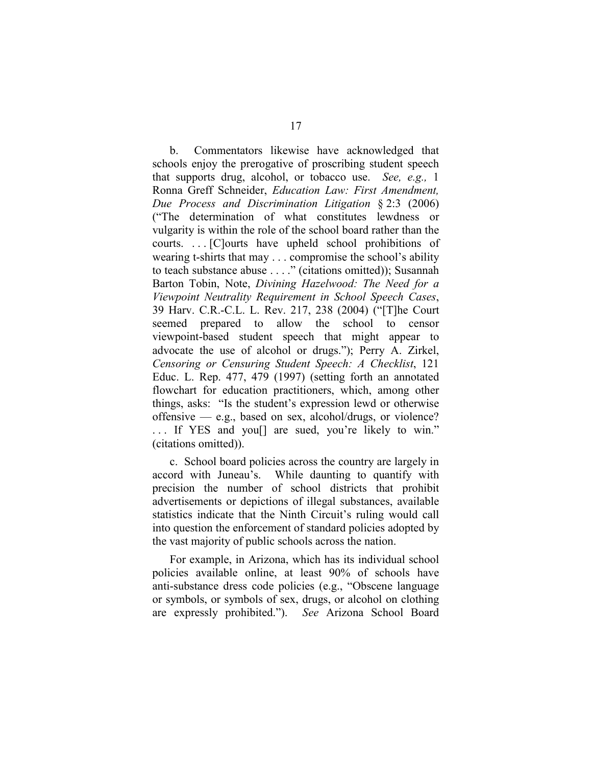b. Commentators likewise have acknowledged that schools enjoy the prerogative of proscribing student speech that supports drug, alcohol, or tobacco use. *See, e.g.,* 1 Ronna Greff Schneider, *Education Law: First Amendment, Due Process and Discrimination Litigation* § 2:3 (2006) ("The determination of what constitutes lewdness or vulgarity is within the role of the school board rather than the courts. . . . [C]ourts have upheld school prohibitions of wearing t-shirts that may . . . compromise the school's ability to teach substance abuse . . . ." (citations omitted)); Susannah Barton Tobin, Note, *Divining Hazelwood: The Need for a Viewpoint Neutrality Requirement in School Speech Cases*, 39 Harv. C.R.-C.L. L. Rev. 217, 238 (2004) ("[T]he Court seemed prepared to allow the school to censor viewpoint-based student speech that might appear to advocate the use of alcohol or drugs."); Perry A. Zirkel, *Censoring or Censuring Student Speech: A Checklist*, 121 Educ. L. Rep. 477, 479 (1997) (setting forth an annotated flowchart for education practitioners, which, among other things, asks: "Is the student's expression lewd or otherwise offensive — e.g., based on sex, alcohol/drugs, or violence? ... If YES and you<sup>[]</sup> are sued, you're likely to win." (citations omitted)).

c. School board policies across the country are largely in accord with Juneau's. While daunting to quantify with precision the number of school districts that prohibit advertisements or depictions of illegal substances, available statistics indicate that the Ninth Circuit's ruling would call into question the enforcement of standard policies adopted by the vast majority of public schools across the nation.

For example, in Arizona, which has its individual school policies available online, at least 90% of schools have anti-substance dress code policies (e.g., "Obscene language or symbols, or symbols of sex, drugs, or alcohol on clothing are expressly prohibited."). *See* Arizona School Board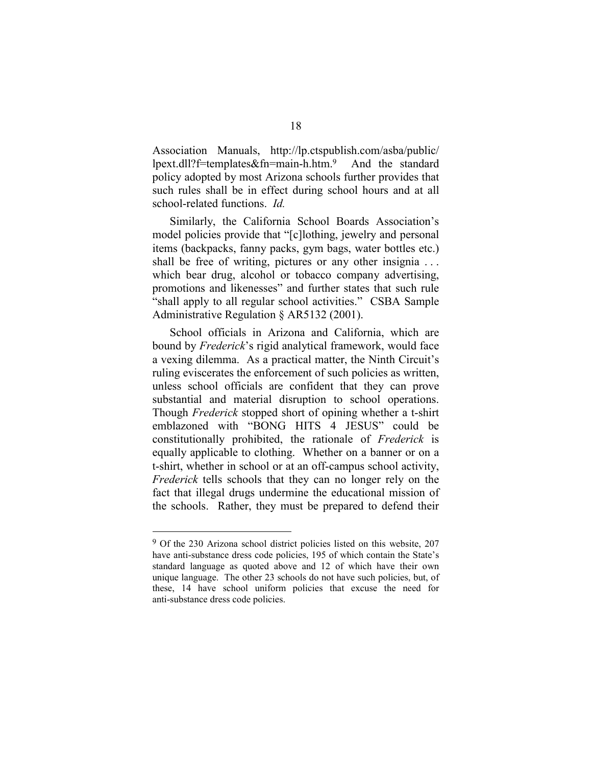Association Manuals, [http://lp.ctspublish.com/asba/public/](http://lp.ctspublish.com/asba/public/ lpext.dll?f=templates&fn=mainh.htm)  [lpext.dll?f=templates&fn=main-h.htm](http://lp.ctspublish.com/asba/public/ lpext.dll?f=templates&fn=mainh.htm). And the standard policy adopted by most Arizona schools further provides that such rules shall be in effect during school hours and at all school-related functions. *Id.*

Similarly, the California School Boards Association's model policies provide that "[c]lothing, jewelry and personal items (backpacks, fanny packs, gym bags, water bottles etc.) shall be free of writing, pictures or any other insignia ... which bear drug, alcohol or tobacco company advertising, promotions and likenesses" and further states that such rule "shall apply to all regular school activities." CSBA Sample Administrative Regulation § AR5132 (2001).

School officials in Arizona and California, which are bound by *Frederick*'s rigid analytical framework, would face a vexing dilemma. As a practical matter, the Ninth Circuit's ruling eviscerates the enforcement of such policies as written, unless school officials are confident that they can prove substantial and material disruption to school operations. Though *Frederick* stopped short of opining whether a t-shirt emblazoned with "BONG HITS 4 JESUS" could be constitutionally prohibited, the rationale of *Frederick* is equally applicable to clothing. Whether on a banner or on a t-shirt, whether in school or at an off-campus school activity, *Frederick* tells schools that they can no longer rely on the fact that illegal drugs undermine the educational mission of the schools. Rather, they must be prepared to defend their

<sup>9</sup> Of the 230 Arizona school district policies listed on this website, 207 have anti-substance dress code policies, 195 of which contain the State's standard language as quoted above and 12 of which have their own unique language. The other 23 schools do not have such policies, but, of these, 14 have school uniform policies that excuse the need for anti-substance dress code policies.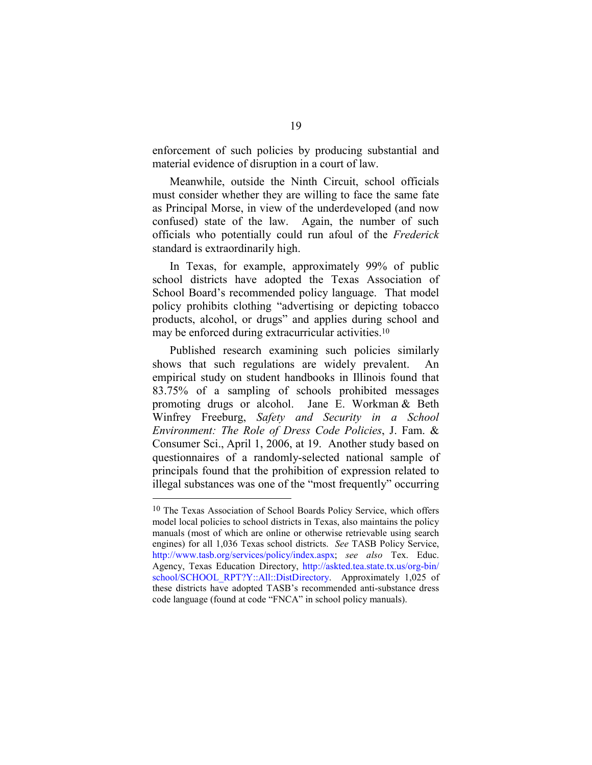enforcement of such policies by producing substantial and material evidence of disruption in a court of law.

Meanwhile, outside the Ninth Circuit, school officials must consider whether they are willing to face the same fate as Principal Morse, in view of the underdeveloped (and now confused) state of the law. Again, the number of such officials who potentially could run afoul of the *Frederick* standard is extraordinarily high.

In Texas, for example, approximately 99% of public school districts have adopted the Texas Association of School Board's recommended policy language. That model policy prohibits clothing "advertising or depicting tobacco products, alcohol, or drugs" and applies during school and may be enforced during extracurricular activities.10

Published research examining such policies similarly shows that such regulations are widely prevalent. An empirical study on student handbooks in Illinois found that 83.75% of a sampling of schools prohibited messages promoting drugs or alcohol. Jane E. Workman & Beth Winfrey Freeburg, *Safety and Security in a School Environment: The Role of Dress Code Policies*, J. Fam. & Consumer Sci., April 1, 2006, at 19. Another study based on questionnaires of a randomly-selected national sample of principals found that the prohibition of expression related to illegal substances was one of the "most frequently" occurring

<sup>10</sup> The Texas Association of School Boards Policy Service, which offers model local policies to school districts in Texas, also maintains the policy manuals (most of which are online or otherwise retrievable using search engines) for all 1,036 Texas school districts. *See* TASB Policy Service, [http://www.tasb.org/services/policy/index.aspx](http://www.tasb.org/ services/policy/index.aspx); *see also* Tex. Educ. Agency, Texas Education Directory, [http://askted.tea.state.tx.us/org-bin/](http://askted.tea.state.tx.us/org-bin/ school/SCHOOL_RPT?Y:: All::DistDirectory) [school/SCHOOL\\_RPT?Y::All::DistDirectory.](http://askted.tea.state.tx.us/org-bin/ school/SCHOOL_RPT?Y:: All::DistDirectory) Approximately 1,025 of these districts have adopted TASB's recommended anti-substance dress code language (found at code "FNCA" in school policy manuals).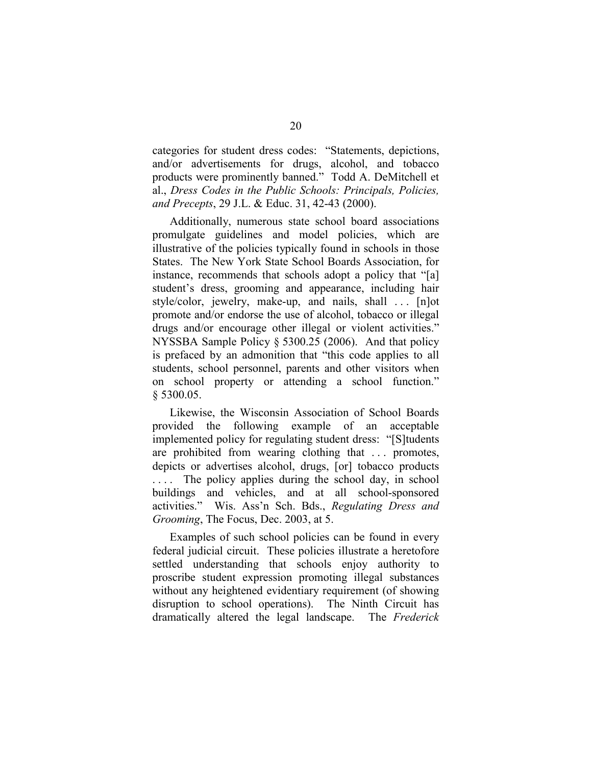categories for student dress codes: "Statements, depictions, and/or advertisements for drugs, alcohol, and tobacco products were prominently banned." Todd A. DeMitchell et al., *Dress Codes in the Public Schools: Principals, Policies, and Precepts*, 29 J.L. & Educ. 31, 42-43 (2000).

Additionally, numerous state school board associations promulgate guidelines and model policies, which are illustrative of the policies typically found in schools in those States. The New York State School Boards Association, for instance, recommends that schools adopt a policy that "[a] student's dress, grooming and appearance, including hair style/color, jewelry, make-up, and nails, shall ... [n]ot promote and/or endorse the use of alcohol, tobacco or illegal drugs and/or encourage other illegal or violent activities." NYSSBA Sample Policy § 5300.25 (2006). And that policy is prefaced by an admonition that "this code applies to all students, school personnel, parents and other visitors when on school property or attending a school function." § 5300.05.

Likewise, the Wisconsin Association of School Boards provided the following example of an acceptable implemented policy for regulating student dress: "[S]tudents are prohibited from wearing clothing that . . . promotes, depicts or advertises alcohol, dr[ug](#page-29-0)s, [or] tobacco products .... The policy applies during the school day, in school buildings and vehicles, and at all school-sponsored activities." Wis. Ass'n Sch. Bds., *Regulating Dress and Grooming*, The Focus, Dec. 2003, at 5.

<span id="page-29-0"></span>Examples of such school policies can be found in every federal judicial circuit. These policies illustrate a heretofore settled understanding that schools enjoy authority to proscribe student expression promoting illegal substances without any heightened evidentiary requirement (of showing disruption to school operations). The Ninth Circuit has dramatically altered the legal landscape. The *Frederick*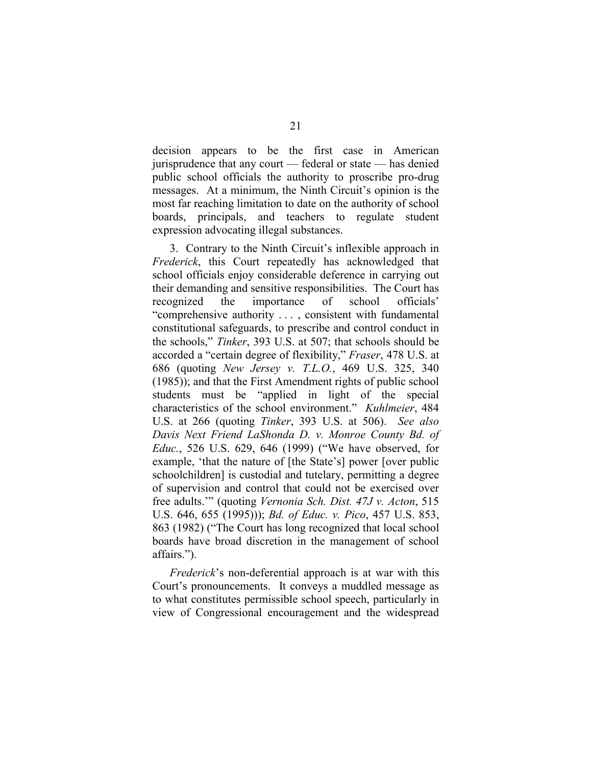decision appears to be the first case in American jurisprudence that any court — federal or state — has denied public school officials the authority to proscribe pro-drug messages. At a minimum, the Ninth Circuit's opinion is the most far reaching limitation to date on the authority of school boards, principals, and teachers to regulate student expression advocating illegal substances.

3. Contrary to the Ninth Circuit's inflexible approach in *Frederick*, this Court repeatedly has acknowledged that school officials enjoy considerable deference in carrying out their demanding and sensitive responsibilities. The Court has recognized the importance of school officials' "comprehensive authority . . . , consistent with fundamental constitutional safeguards, to prescribe and control conduct in the schools," *Tinker*, 393 U.S. at 507; that schools should be accorded a "certain degree of flexibility," *Fraser*, 478 U.S. at 686 (quoting *New Jersey v. T.L.O.*, 469 U.S. 325, 340 (1985)); and that the First Amendment rights of public school students must be "applied in light of the special characteristics of the school environment." *Kuhlmeier*, 484 U.S. at 266 (quoting *Tinker*, 393 U.S. at 506). *See also Davis Next Friend LaShonda D. v. Monroe County Bd. of Educ.*, 526 U.S. 629, 646 (1999) ("We have observed, for example, 'that the nature of [the State's] power [over public schoolchildren] is custodial and tutelary, permitting a degree of supervision and control that could not be exercised over free adults.'" (quoting *Vernonia Sch. Dist. 47J v. Acton*, 515 U.S. 646, 655 (1995))); *Bd. of Educ. v. Pico*, 457 U.S. 853, 863 (1982) ("The Court has long recognized that local school boards have broad discretion in the management of school affairs.").

*Frederick*'s non-deferential approach is at war with this Court's pronouncements. It conveys a muddled message as to what constitutes permissible school speech, particularly in view of Congressional encouragement and the widespread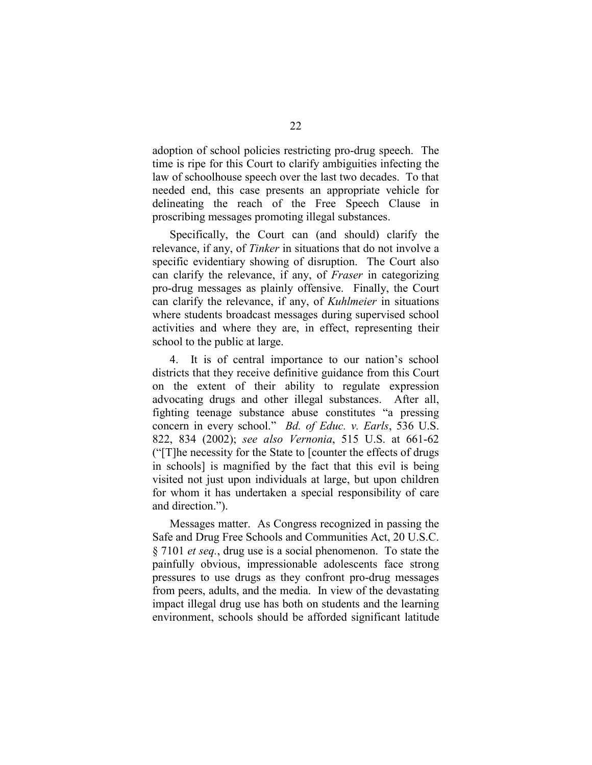adoption of school policies restricting pro-drug speech. The time is ripe for this Court to clarify ambiguities infecting the law of schoolhouse speech over the last two decades. To that needed end, this case presents an appropriate [v](#page-31-0)ehicle for delineating the reach of the Free Speech Clause in proscribing messages promoting illegal substances.

Specifically, the Court can (and should) clarify the relevance, if any, of *Tinker* in situations that do not involve a specific evidentiary showing of disruption. The Court also can clarify the relevance, if any, of *Fraser* in categorizing pro-drug messages as plainly offensive. Finally, the Court can clarify the relevance, if any, of *Kuhlmeier* in situations where students broadcast messages during supervised school activities and where they are, in effect, representing their school to the public at large.

<span id="page-31-0"></span>4. It is of central importance to our nation's school districts that they receive definitive guidance from this Court on the extent of their ability to regulate expression advocating drugs and other illegal substances. After all, fighting teenage substance abuse constitutes "a pressing concern in every school." *Bd. of Educ. v. Earls*, 536 U.S. 822, 834 (2002); *see also Vernonia*, 515 U.S. at 661-62 ("[T]he necessity for the State to [counter the effects of drugs in schools] is magnified by the fact that this evil is being visited not just upon individuals at large, but upon children for whom it has undertaken a special responsibility of care and direction.").

Messages matter. As Congress recognized in passing the Safe and Drug Free Schools and Communities Act, 20 U.S.C. § 7101 *et seq.*, drug use is a social phenomenon. To state the painfully obvious, impressionable adolescents face strong pressures to use drugs as they confront pro-drug messages from peers, adults, and the media. In view of the devastating impact illegal drug use has both on students and the learning environment, schools should be afforded significant latitude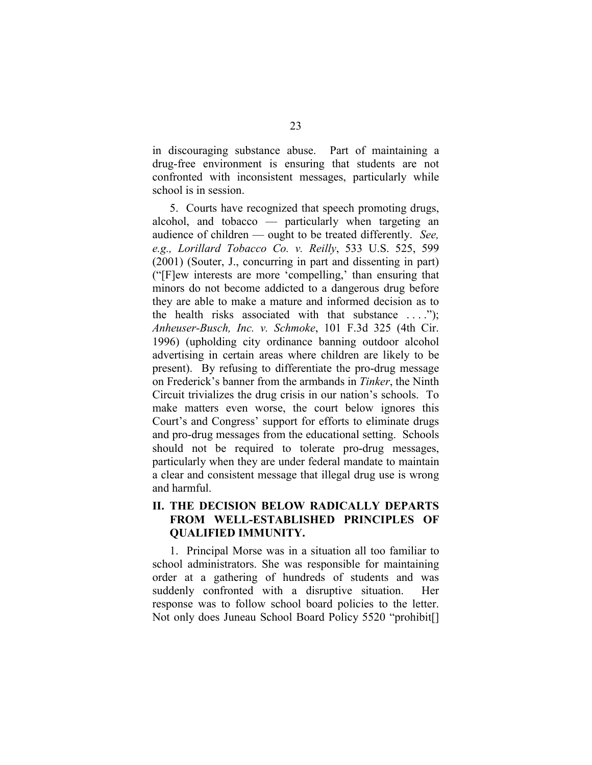in discouraging substance abuse. Part of maintaining a drug-free environment is ensuring that students are not confronted with inconsistent messages, particularly while school is in session.

5. Courts have recognized that speech promoting drugs, alcohol, and tobacco — particularly when targeting an audience of children — ought to be treated differently. *See, e.g., Lorillard Tobacco Co. v. Reilly*, 533 U.S. 525, 599 (2001) (Souter, J., concurring in part and dissenting in part) ("[F]ew interests are more 'compelling,' than ensuring that minors do not become addicted to a dangerous drug before they are able to make a mature and informed decision as to the health risks associated with that substance  $\dots$ . *Anheuser-Busch, Inc. v. Schmoke*, 101 F.3d 325 (4th Cir. 1996) (upholding city ordinance banning outdoor alcohol advertising in certain areas where children are likely to be present). By refusing to differentiate the pro-drug message on Frederick's banner from the armbands in *Tinker*, the Ninth Circuit trivializes the drug crisis in our nation's schools. To make matters even worse, the court below ignores this Court's and Congress' support for efforts to eliminate drugs and pro-drug messages from the educational setting. Schools should not be required to tolerate pro-drug messages, particularly when they are under federal mandate to maintain a clear and consistent message that illegal drug use is wrong and harmful.

## **II. THE DECISION BELOW RADICALLY DEPARTS FROM WELL-ESTABLISHED PRINCIPLES OF QUALIFIED IMMUNITY.**

1. Principal Morse was in a situation all too familiar to school administrators. She was responsible for maintaining order at a gathering of hundreds of students and was suddenly confronted with a disruptive situation. Her response was to follow school board policies to the letter. Not only does Juneau School Board Policy 5520 "prohibit[]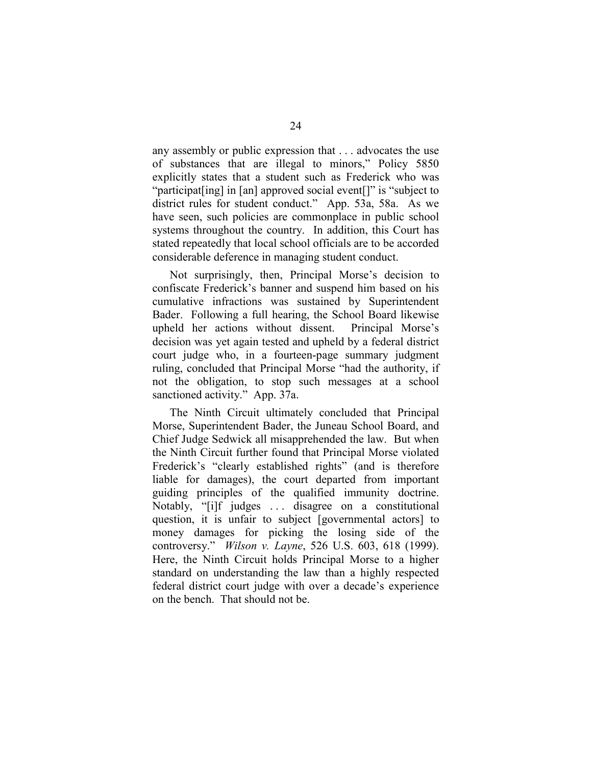any assembly or public expression that . . . advocates the use of substances that are illegal to minors," Policy 5850 explicitly states that a student such as Frederick who was "participat[ing] in [an] approved social event[]" is "subject to district rules for student conduct." App. 53a, 58a. As we have seen, such policies are commonplace in public school systems throughout the country. In addition, this Court has stated repeatedly that local school officials are to be accorded considerable deference in managing student conduct.

Not surprisingly, then, Principal Morse's decision to confiscate Frederick's banner and suspend him based on his cumulative infractions was sustained by Superintendent Bader. Following a full hearing, the School Board likewise upheld her actions without dissent. Principal Morse's decision was yet again tested and upheld by a federal district court judge who, in a fourteen-page summary judgment ruling, concluded that Principal Morse "had the authority, if not the obligation, to stop such messages at a school sanctioned activity." App. 37a.

The Ninth Circuit ultimately concluded that Principal Morse, Superintendent Bader, the Juneau School Board, and Chief Judge Sedwick all misapprehended the law. But when the Ninth Circuit further found that Principal Morse violated Frederick's "clearly established rights" (and is therefore liable for damages), the court departed from important guiding principles of the qualified immunity doctrine. Notably, "[i]f judges . . . disagree on a constitutional question, it is unfair to subject [governmental actors] to money damages for picking the losing side of the controversy." *Wilson v. Layne*, 526 U.S. 603, 618 (1999). Here, the Ninth Circuit holds Principal Morse to a higher standard on understanding the law than a highly respected federal district court judge with over a decade's experience on the bench. That should not be.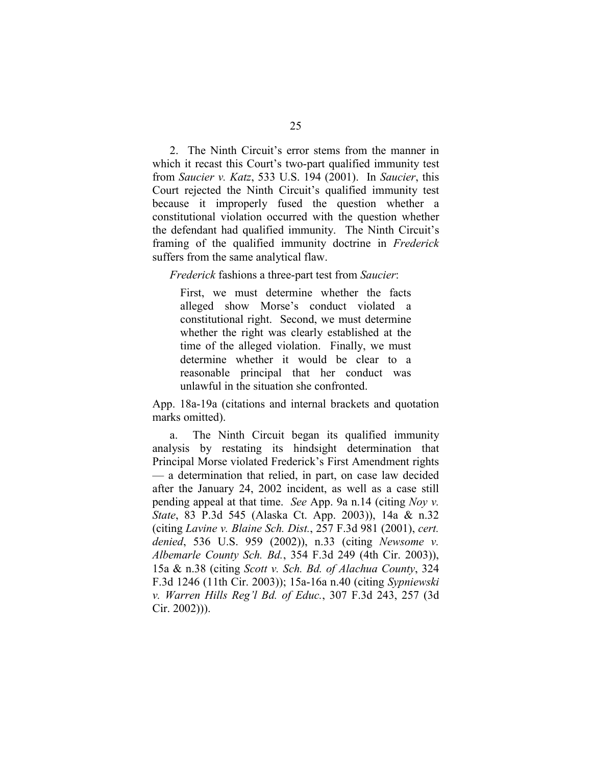2. The Ninth Circuit's error stems from the manner in which it recast this Court's two-part qualified immunity test from *Saucier v. Katz*, 533 U.S. 194 (2001). In *Saucier*, this Court rejected the Ninth Circuit's qualified immunity test because it improperly fused the question whether a constitutional violation occurred with the question whether the defendant had qualified immunity. The Ninth Circuit's framing of the qualified immunity doctrine in *Frederick* suffers from the same analytical flaw.

*Frederick* fashions a three-part test from *Saucier*:

First, we must determine whether the facts alleged show Morse's conduct violated a constitutional right. Second, we must determine whether the right was clearly established at the time of the alleged violation. Finally, we must determine whether it would be clear to a reasonable principal that her conduct was unlawful in the situation she confronted.

App. 18a-19a (citations and internal brackets and quotation marks omitted).

a. The Ninth Circuit began its qualified immunity analysis by restating its hindsight determination that Principal Morse violated Frederick's First Amendment rights — a determination that relied, in part, on case law decided after the January 24, 2002 incident, as well as a case still pending appeal at that time. *See* App. 9a n.14 (citing *Noy v. State*, 83 P.3d 545 (Alaska Ct. App. 2003)), 14a & n.32 (citing *Lavine v. Blaine Sch. Dist.*, 257 F.3d 981 (2001), *cert. denied*, 536 U.S. 959 (2002)), n.33 (citing *Newsome v. Albemarle County Sch. Bd.*, 354 F.3d 249 (4th Cir. 2003)), 15a & n.38 (citing *Scott v. Sch. Bd. of Alachua County*, 324 F.3d 1246 (11th Cir. 2003)); 15a-16a n.40 (citing *Sypniewski v. Warren Hills Reg'l Bd. of Educ.*, 307 F.3d 243, 257 (3d Cir. 2002))).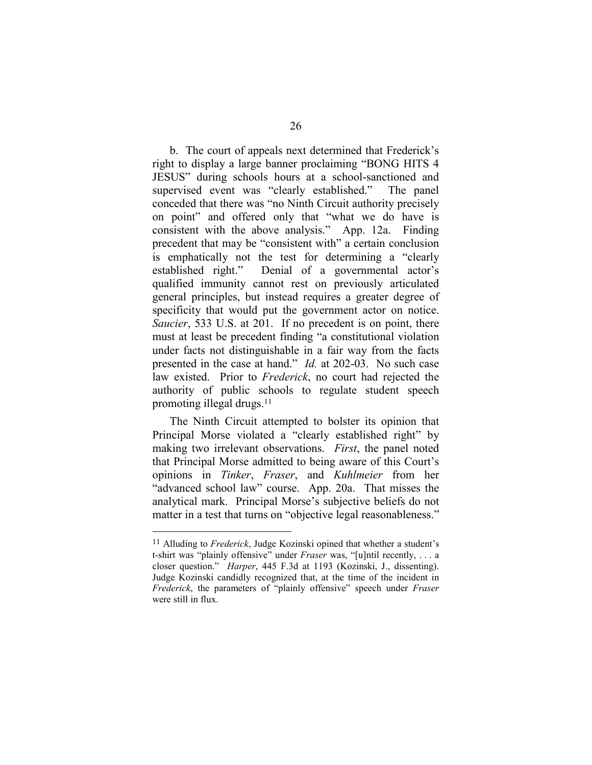b. The court of appeals next determined that Frederick's right to display a large banner proclaiming "BONG HITS 4 JESUS" during schools hours at a school-sanctioned and supervised event was "clearly established." The panel conceded that there was "no Ninth Circuit authority precisely on point" and offered only that "what we do have is consistent with the above analysis." App. 12a. Finding precedent that may be "consistent with" a certain conclusion is emphatically not the test for determining a "clearly established right." Denial of a governmental actor's qualified immunity cannot rest on previously articulated general principles, but instead requires a greater degree of specificity that would put the government actor on notice. *Saucier*, 533 U.S. at 201. If no precedent is on point, there must at least be precedent finding "a constitutional violation under facts not distinguishable in a fair way from the facts presented in the case at hand." *Id.* at 202-03. No such case law existed. Prior to *Frederick*, no court had rejected the authority of public schools to regulate student speech promoting illegal drugs.11

The Ninth Circuit attempted to bolster its opinion that Principal Morse violated a "clearly established right" by making two irrelevant observations. *First*, the panel noted that Principal Morse admitted to being aware of this Court's opinions in *Tinker*, *Fraser*, and *Kuhlmeier* from her "advanced school law" course. App. 20a. That misses the analytical mark. Principal Morse's subjective beliefs do not matter in a test that turns on "objective legal reasonableness."

<sup>11</sup> Alluding to *Frederick*, Judge Kozinski opined that whether a student's t-shirt was "plainly offensive" under *Fraser* was, "[u]ntil recently, . . . a closer question." *Harper*, 445 F.3d at 1193 (Kozinski, J., dissenting). Judge Kozinski candidly recognized that, at the time of the incident in *Frederick*, the parameters of "plainly offensive" speech under *Fraser* were still in flux.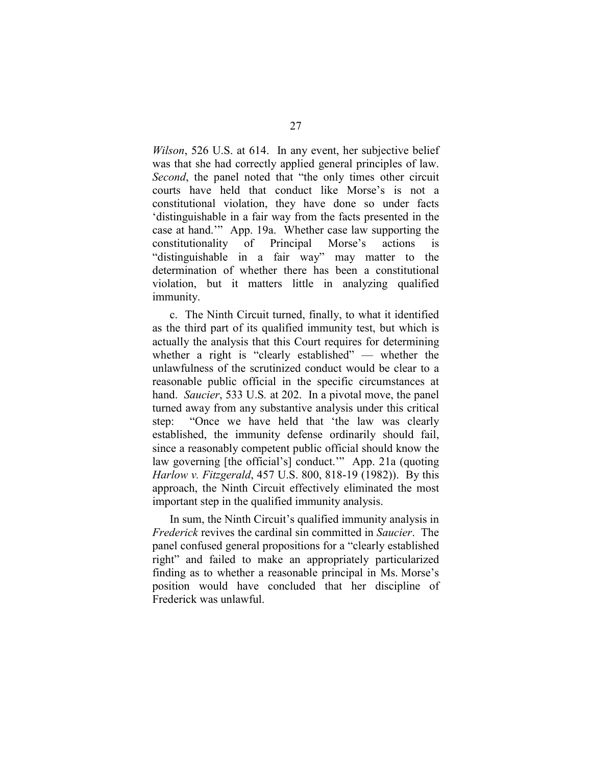<span id="page-36-0"></span>*Wilson*, 526 U.S. at 614. In any event, her subjective belief was that she had correctly applied general principles of law. *Second*, the panel noted that "the only times other circuit courts have held that conduct like Morse's is not a constitutional violation, they have done so under facts 'distinguishable in a fair way from the facts presented in the case at hand.'" App. 19a. Whether case law supporting the constitutionality of Principal Morse's actions is "distinguishable in a fair way" may matter to the determination of whether there has been a constitutional violation, but it matters little in analyzing qualified immunity.

c. The Ninth Circuit turned, finally, to what it identified as the third part of its qualified immunity test, but which is actually the analysis that this Court requires for determining whether a right is "clearly established" — whether the unlawfulness of the scrutinized conduct would be clear to a reasonable public official in the specific circumstances at hand. *Saucier*, 533 U.S*.* at 202. In a pivotal move, the panel turned away from any substantive analysis under this critical step: "Once we have held that 'the law was clearly established, the immunity defense ordinarily should fail, since a reasonably competent public official should know the law governing [the official's] conduct.'" App. 21a (quoting *Harlow v. Fitzgerald*, 457 U.S. 800, 818-19 (1982)). By this approach, the Ninth Circuit effectively eliminated the most important step in the qualified immunity analysis.

In sum, the Ninth Circuit's qualified immunity analysis in *Frederick* revives the cardinal sin committed in *Saucier*. The panel confused general propositions for a "clearly established right" and failed to make an appropriately particularized finding as to whether a reasonable principal in Ms. Morse's position would have concluded that her discipline of Frederick was unlawful.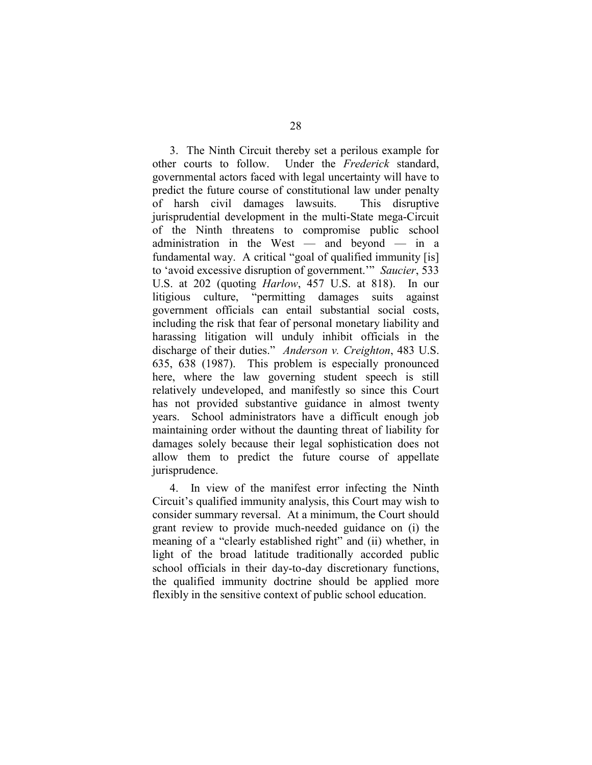3. The Ninth Circuit thereby set a perilous example for other courts to follow. Under the *Frederick* standard, governmental actors faced with legal uncertainty will have to predict the future course of constitutional law under penalty of harsh civil damages lawsuits. This disruptive jurisprudential development in the multi-State mega-Circuit of the Ninth threatens to compromise public school administration in the West — and beyond — in a fundamental way. A critical "goal of qualified immunity [is] to 'avoid excessive disruption of government.'" *Saucier*, 533 U.S. at 202 (quoting *Harlow*, 457 U.S. at 818). In our litigious culture, "permitting damages suits against government officials can entail substantial social costs, including the risk that fear of personal monetary liability and harassing litigation will unduly inhibit officials in the discharge of their duties." *Anderson v. Creighton*, 483 U.S. 635, 638 (1987). This problem is especially pronounced here, where the law governing student speech is still relatively undeveloped, and manifestly so since this Court has not provided substantive guidance in almost twenty years. School administrators have a difficult enough job maintaining order without the daunting threat of liability for damages solely because their legal sophistication does not allow them to predict the future course of appellate jurisprudence.

4. In view of the manifest error infecting the Ninth Circuit's qualified immunity analysis, this Court may wish to consider summary reversal. At a minimum, the Court should grant review to provide much-needed guidance on (i) the meaning of a "clearly established right" and (ii) whether, in light of the broad latitude traditionally accorded public school officials in their day-to-day discretionary functions, the qualified immunity doctrine should be applied more flexibly in the sensitive context of public school education.